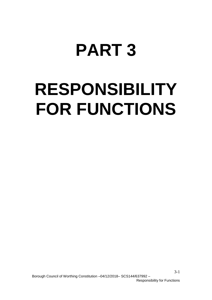# **PART 3**

# **RESPONSIBILITY FOR FUNCTIONS**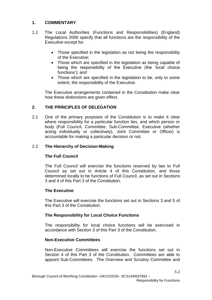# **1. COMMENTARY**

- 1.1 The Local Authorities (Functions and Responsibilities) (England) Regulations 2000 specify that all functions are the responsibility of the Executive except for:
	- Those specified in the legislation as not being the responsibility of the Executive;
	- Those which are specified in the legislation as being capable of being the responsibility of the Executive (the 'local choice functions'); and
	- Those which are specified in the legislation to be, only to some extent, the responsibility of the Executive.

The Executive arrangements contained in the Constitution make clear how these distinctions are given effect.

# **2. THE PRINCIPLES OF DELEGATION**

2.1 One of the primary purposes of the Constitution is to make it clear where responsibility for a particular function lies, and which person or body (Full Council, Committee, Sub-Committee, Executive (whether acting individually or collectively), Joint Committee or Officer) is accountable for making a particular decision or not.

# 2.2 **The Hierarchy of Decision-Making**

# **The Full Council**

The Full Council will exercise the functions reserved by law to Full Council as set out in Article 4 of this Constitution, and those determined locally to be functions of Full Council, as set out in Sections 3 and 4 of this Part 3 of the Constitution.

# **The Executive**

The Executive will exercise the functions set out in Sections 3 and 5 of this Part 3 of the Constitution.

# **The Responsibility for Local Choice Functions**

The responsibility for local choice functions will be exercised in accordance with Section 3 of this Part 3 of the Constitution.

# **Non-Executive Committees**

Non-Executive Committees will exercise the functions set out in Section 4 of this Part 3 of the Constitution. Committees are able to appoint Sub-Committees. The Overview and Scrutiny Committee and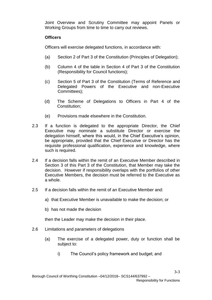Joint Overview and Scrutiny Committee may appoint Panels or Working Groups from time to time to carry out reviews.

# **Officers**

Officers will exercise delegated functions, in accordance with:

- (a) Section 2 of Part 3 of the Constitution (Principles of Delegation);
- (b) Column 4 of the table in Section 4 of Part 3 of the Constitution (Responsibility for Council functions);
- (c) Section 5 of Part 3 of the Constitution (Terms of Reference and Delegated Powers of the Executive and non-Executive Committees);
- (d) The Scheme of Delegations to Officers in Part 4 of the Constitution;
- (e) Provisions made elsewhere in the Constitution.
- 2.3 If a function is delegated to the appropriate Director, the Chief Executive may nominate a substitute Director or exercise the delegation himself, where this would, in the Chief Executive's opinion, be appropriate, provided that the Chief Executive or Director has the requisite professional qualification, experience and knowledge, where such is required.
- 2.4 If a decision falls within the remit of an Executive Member described in Section 3 of this Part 3 of the Constitution, that Member may take the decision. However if responsibility overlaps with the portfolios of other Executive Members, the decision must be referred to the Executive as a whole.
- 2.5 If a decision falls within the remit of an Executive Member and:
	- a) that Executive Member is unavailable to make the decision; or
	- b) has not made the decision

then the Leader may make the decision in their place.

- 2.6 Limitations and parameters of delegations
	- (a) The exercise of a delegated power, duty or function shall be subject to:
		- i) The Council's policy framework and budget; and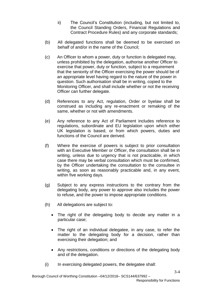- ii) The Council's Constitution (including, but not limited to, the Council Standing Orders, Financial Regulations and Contract Procedure Rules) and any corporate standards;
- (b) All delegated functions shall be deemed to be exercised on behalf of and/or in the name of the Council;
- (c) An Officer to whom a power, duty or function is delegated may, unless prohibited by the delegation, authorise another Officer to exercise that power, duty or function, subject to a requirement that the seniority of the Officer exercising the power should be of an appropriate level having regard to the nature of the power in question. Such authorisation shall be in writing, copied to the Monitoring Officer, and shall include whether or not the receiving Officer can further delegate.
- (d) References to any Act, regulation, Order or byelaw shall be construed as including any re-enactment or remaking of the same, whether or not with amendments.
- (e) Any reference to any Act of Parliament includes reference to regulations, subordinate and EU legislation upon which either UK legislation is based, or from which powers, duties and functions of the Council are derived.
- (f) Where the exercise of powers is subject to prior consultation with an Executive Member or Officer, the consultation shall be in writing, unless due to urgency that is not practicable, in which case there may be verbal consultation which must be confirmed, by the Officer undertaking the consultation to the consultee in writing, as soon as reasonably practicable and, in any event, within five working days.
- (g) Subject to any express instructions to the contrary from the delegating body, any power to approve also includes the power to refuse, and the power to impose appropriate conditions.
- (h) All delegations are subject to:
	- The right of the delegating body to decide any matter in a particular case;
	- The right of an individual delegatee, in any case, to refer the matter to the delegating body for a decision, rather than exercising their delegation; and
	- Any restrictions, conditions or directions of the delegating body and of the delegation.
- (i) In exercising delegated powers, the delegatee shall: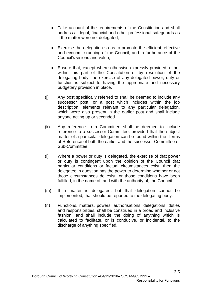- Take account of the requirements of the Constitution and shall address all legal, financial and other professional safeguards as if the matter were not delegated;
- Exercise the delegation so as to promote the efficient, effective and economic running of the Council, and in furtherance of the Council's visions and value;
- Ensure that, except where otherwise expressly provided, either within this part of the Constitution or by resolution of the delegating body, the exercise of any delegated power, duty or function is subject to having the appropriate and necessary budgetary provision in place.
- (j) Any post specifically referred to shall be deemed to include any successor post, or a post which includes within the job description, elements relevant to any particular delegation, which were also present in the earlier post and shall include anyone acting up or seconded.
- (k) Any reference to a Committee shall be deemed to include reference to a successor Committee, provided that the subject matter of a particular delegation can be found within the Terms of Reference of both the earlier and the successor Committee or Sub-Committee.
- (l) Where a power or duty is delegated, the exercise of that power or duty is contingent upon the opinion of the Council that particular conditions or factual circumstances exist, then the delegatee in question has the power to determine whether or not those circumstances do exist, or those conditions have been fulfilled, in the name of, and with the authority of, the Council.
- (m) If a matter is delegated, but that delegation cannot be implemented, that should be reported to the delegating body.
- (n) Functions, matters, powers, authorisations, delegations, duties and responsibilities, shall be construed in a broad and inclusive fashion, and shall include the doing of anything which is calculated to facilitate, or is conducive, or incidental, to the discharge of anything specified.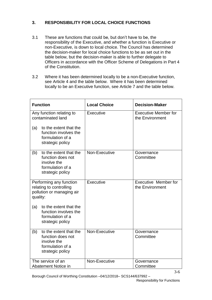# **3. RESPONSIBILITY FOR LOCAL CHOICE FUNCTIONS**

- 3.1 These are functions that could be, but don't have to be, the responsibility of the Executive, and whether a function is Executive or non-Executive, is down to local choice. The Council has determined the decision-maker for local choice functions to be as set out in the table below, but the decision-maker is able to further delegate to Officers in accordance with the Officer Scheme of Delegations in Part 4 of the Constitution.
- 3.2 Where it has been determined locally to be a non-Executive function, see Article 4 and the table below. Where it has been determined locally to be an Executive function, see Article 7 and the table below.

| <b>Function</b>                                                                                           | <b>Local Choice</b> | <b>Decision-Maker</b>                          |
|-----------------------------------------------------------------------------------------------------------|---------------------|------------------------------------------------|
| Any function relating to<br>contaminated land                                                             | Executive           | <b>Executive Member for</b><br>the Environment |
| to the extent that the<br>(a)<br>function involves the<br>formulation of a<br>strategic policy            |                     |                                                |
| to the extent that the<br>(b)<br>function does not<br>involve the<br>formulation of a<br>strategic policy | Non-Executive       | Governance<br>Committee                        |
| Performing any function<br>relating to controlling<br>pollution or managing air<br>quality:               | Executive           | <b>Executive Member for</b><br>the Environment |
| to the extent that the<br>(a)<br>function involves the<br>formulation of a<br>strategic policy            |                     |                                                |
| to the extent that the<br>(b)<br>function does not<br>involve the<br>formulation of a<br>strategic policy | Non-Executive       | Governance<br>Committee                        |
| The service of an<br>Abatement Notice in                                                                  | Non-Executive       | Governance<br>Committee                        |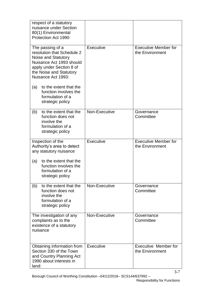| respect of a statutory<br>nuisance under Section<br>80(1) Environmental<br>Protection Act 1990                                                                                 |                  |                                                |
|--------------------------------------------------------------------------------------------------------------------------------------------------------------------------------|------------------|------------------------------------------------|
| The passing of a<br>resolution that Schedule 2<br>Noise and Statutory<br>Nuisance Act 1993 should<br>apply under Section 8 of<br>the Noise and Statutory<br>Nuisance Act 1993: | Executive        | <b>Executive Member for</b><br>the Environment |
| to the extent that the<br>(a)<br>function involves the<br>formulation of a<br>strategic policy                                                                                 |                  |                                                |
| to the extent that the<br>(b)<br>function does not<br>involve the<br>formulation of a<br>strategic policy                                                                      | Non-Executive    | Governance<br>Committee                        |
| Inspection of the<br>Authority's area to detect<br>any statutory nuisance                                                                                                      | <b>Executive</b> | <b>Executive Member for</b><br>the Environment |
| to the extent that the<br>(a)<br>function involves the<br>formulation of a<br>strategic policy                                                                                 |                  |                                                |
| to the extent that the<br>(b)<br>function does not<br>involve the<br>formulation of a<br>strategic policy                                                                      | Non-Executive    | Governance<br>Committee                        |
| The investigation of any<br>complaints as to the<br>existence of a statutory<br>nuisance                                                                                       | Non-Executive    | Governance<br>Committee                        |
| Obtaining information from<br>Section 330 of the Town<br>and Country Planning Act<br>1990 about interests in<br>land:                                                          | Executive        | Executive Member for<br>the Environment        |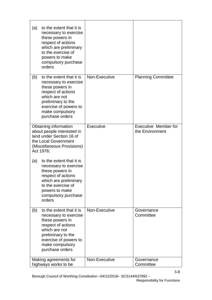| to the extent that it is<br>(a)<br>necessary to exercise<br>these powers in<br>respect of actions<br>which are preliminary<br>to the exercise of<br>powers to make<br>compulsory purchase<br>orders     |               |                                                |
|---------------------------------------------------------------------------------------------------------------------------------------------------------------------------------------------------------|---------------|------------------------------------------------|
| to the extent that it is<br>(b)<br>necessary to exercise<br>these powers in<br>respect of actions<br>which are not<br>preliminary to the<br>exercise of powers to<br>make compulsory<br>purchase orders | Non-Executive | <b>Planning Committee</b>                      |
| Obtaining information<br>about people interested in<br>land under Section 16 of<br>the Local Government<br>(Miscellaneous Provisions)<br>Act 1976:                                                      | Executive     | <b>Executive Member for</b><br>the Environment |
| to the extent that it is<br>(a)<br>necessary to exercise<br>these powers in<br>respect of actions<br>which are preliminary<br>to the exercise of<br>powers to make<br>compulsory purchase<br>orders     |               |                                                |
| to the extent that it is<br>(b)<br>necessary to exercise<br>these powers in<br>respect of actions<br>which are not<br>preliminary to the<br>exercise of powers to<br>make compulsory<br>purchase orders | Non-Executive | Governance<br>Committee                        |
| Making agreements for<br>highways works to be                                                                                                                                                           | Non-Executive | Governance<br>Committee                        |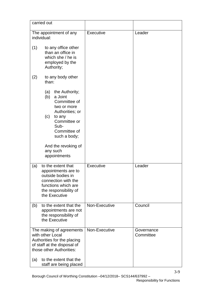|     | carried out                                                                                                                                                        |               |                         |
|-----|--------------------------------------------------------------------------------------------------------------------------------------------------------------------|---------------|-------------------------|
|     | The appointment of any<br>individual:                                                                                                                              | Executive     | Leader                  |
| (1) | to any office other<br>than an office in<br>which she / he is<br>employed by the<br>Authority;                                                                     |               |                         |
| (2) | to any body other<br>than:                                                                                                                                         |               |                         |
|     | the Authority;<br>(a)<br>(b)<br>a Joint<br>Committee of<br>two or more<br>Authorities; or<br>(c)<br>to any<br>Committee or<br>Sub-<br>Committee of<br>such a body; |               |                         |
|     | And the revoking of<br>any such<br>appointments                                                                                                                    |               |                         |
| (a) | to the extent that<br>appointments are to<br>outside bodies in<br>connection with the<br>functions which are<br>the responsibility of<br>the Executive             | Executive     | Leader                  |
| (b) | to the extent that the<br>appointments are not<br>the responsibility of<br>the Executive                                                                           | Non-Executive | Council                 |
|     | The making of agreements<br>with other Local<br>Authorities for the placing<br>of staff at the disposal of<br>those other Authorities:                             | Non-Executive | Governance<br>Committee |
| (a) | to the extent that the<br>staff are being placed                                                                                                                   |               |                         |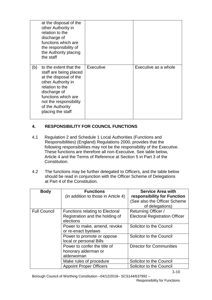|     | at the disposal of the<br>other Authority in<br>relation to the<br>discharge of<br>functions which are<br>the responsibility of<br>the Authority placing<br>the staff                                                         |           |                      |
|-----|-------------------------------------------------------------------------------------------------------------------------------------------------------------------------------------------------------------------------------|-----------|----------------------|
| (b) | to the extent that the<br>staff are being placed<br>at the disposal of the<br>other Authority in<br>relation to the<br>discharge of<br>functions which are<br>not the responsibility<br>of the Authority<br>placing the staff | Executive | Executive as a whole |

# **4. RESPONSIBILITY FOR COUNCIL FUNCTIONS**

- 4.1 Regulation 2 and Schedule 1 Local Authorities (Functions and Responsibilities) (England) Regulations 2000, provides that the following responsibilities may not be the responsibility of the Executive. These functions are therefore all non-Executive. See table below, Article 4 and the Terms of Reference at Section 5 in Part 3 of the Constitution.
- 4.2 The functions may be further delegated to Officers, and the table below should be read in conjunction with the Officer Scheme of Delegations at Part 4 of the Constitution.

| <b>Body</b>         | <b>Functions</b><br>(in addition to those in Article 4)                                | <b>Service Area with</b><br>responsibility for Function<br>(See also the Officer Scheme<br>of delegations) |
|---------------------|----------------------------------------------------------------------------------------|------------------------------------------------------------------------------------------------------------|
| <b>Full Council</b> | <b>Functions relating to Electoral</b><br>Registration and the holding of<br>elections | Returning Officer /<br><b>Electoral Registration Officer</b>                                               |
|                     | Power to make, amend, revoke<br>or re-enact byelaws                                    | Solicitor to the Council                                                                                   |
|                     | Power to promote or oppose<br>local or personal Bills                                  | Solicitor to the Council                                                                                   |
|                     | Power to confer the title of<br>honorary alderman or<br>alderwoman                     | <b>Director for Communities</b>                                                                            |
|                     | Make rules of procedure                                                                | Solicitor to the Council                                                                                   |
|                     | <b>Appoint Proper Officers</b>                                                         | Solicitor to the Council                                                                                   |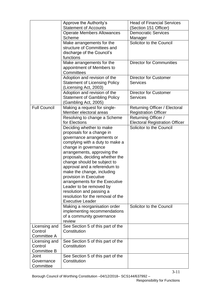|                     | Approve the Authority's                                    | <b>Head of Financial Services</b>     |
|---------------------|------------------------------------------------------------|---------------------------------------|
|                     | <b>Statement of Accounts</b>                               | (Section 151 Officer)                 |
|                     | <b>Operate Members Allowances</b>                          | <b>Democratic Services</b>            |
|                     | <b>Scheme</b>                                              | Manager                               |
|                     | Make arrangements for the                                  | Solicitor to the Council              |
|                     | structure of Committees and                                |                                       |
|                     | discharge of the Council's                                 |                                       |
|                     | functions                                                  |                                       |
|                     | Make arrangements for the                                  | <b>Director for Communities</b>       |
|                     | appointment of Members to                                  |                                       |
|                     | Committees                                                 |                                       |
|                     | Adoption and revision of the                               | <b>Director for Customer</b>          |
|                     | <b>Statement of Licensing Policy</b>                       | <b>Services</b>                       |
|                     | (Licensing Act, 2003)                                      |                                       |
|                     | Adoption and revision of the                               | <b>Director for Customer</b>          |
|                     | <b>Statement of Gambling Policy</b>                        | <b>Services</b>                       |
|                     | (Gambling Act, 2005)                                       |                                       |
| <b>Full Council</b> | Making a request for single-                               | Returning Officer / Electoral         |
|                     | Member electoral areas                                     | <b>Registration Officer</b>           |
|                     | Resolving to change a Scheme                               | Returning Officer /                   |
|                     | for Elections                                              | <b>Electoral Registration Officer</b> |
|                     | Deciding whether to make                                   | Solicitor to the Council              |
|                     | proposals for a change in                                  |                                       |
|                     | governance arrangements or                                 |                                       |
|                     | complying with a duty to make a                            |                                       |
|                     | change in governance                                       |                                       |
|                     | arrangements, approving the                                |                                       |
|                     | proposals, deciding whether the                            |                                       |
|                     | change should be subject to                                |                                       |
|                     | approval and a referendum to<br>make the change, including |                                       |
|                     | provision in Executive                                     |                                       |
|                     | arrangements for the Executive                             |                                       |
|                     | Leader to be removed by                                    |                                       |
|                     | resolution and passing a                                   |                                       |
|                     | resolution for the removal of the                          |                                       |
|                     | <b>Executive Leader</b>                                    |                                       |
|                     | Making a reorganisation order                              | Solicitor to the Council              |
|                     | implementing recommendations                               |                                       |
|                     | of a community governance                                  |                                       |
|                     | review                                                     |                                       |
| Licensing and       | See Section 5 of this part of the                          |                                       |
| Control             | Constitution                                               |                                       |
| Committee A         |                                                            |                                       |
| Licensing and       | See Section 5 of this part of the                          |                                       |
| Control             | Constitution                                               |                                       |
| <b>Committee B</b>  |                                                            |                                       |
| Joint               | See Section 5 of this part of the                          |                                       |
| Governance          | Constitution                                               |                                       |
| Committee           |                                                            |                                       |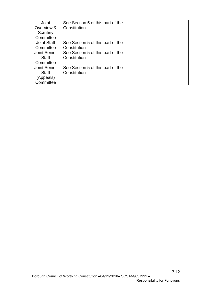| Joint              | See Section 5 of this part of the |  |
|--------------------|-----------------------------------|--|
| Overview &         | Constitution                      |  |
| Scrutiny           |                                   |  |
| Committee          |                                   |  |
| <b>Joint Staff</b> | See Section 5 of this part of the |  |
| Committee          | Constitution                      |  |
| Joint Senior       | See Section 5 of this part of the |  |
| Staff              | Constitution                      |  |
| Committee          |                                   |  |
| Joint Senior       | See Section 5 of this part of the |  |
| Staff              | Constitution                      |  |
| (Appeals)          |                                   |  |
| Committee          |                                   |  |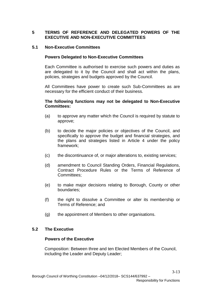# **5 TERMS OF REFERENCE AND DELEGATED POWERS OF THE EXECUTIVE AND NON-EXECUTIVE COMMITTEES**

#### **5.1 Non-Executive Committees**

## **Powers Delegated to Non-Executive Committees**

Each Committee is authorised to exercise such powers and duties as are delegated to it by the Council and shall act within the plans, policies, strategies and budgets approved by the Council.

All Committees have power to create such Sub-Committees as are necessary for the efficient conduct of their business.

#### **The following functions may not be delegated to Non-Executive Committees:**

- (a) to approve any matter which the Council is required by statute to approve;
- (b) to decide the major policies or objectives of the Council, and specifically to approve the budget and financial strategies, and the plans and strategies listed in Article 4 under the policy framework;
- (c) the discontinuance of, or major alterations to, existing services;
- (d) amendment to Council Standing Orders, Financial Regulations, Contract Procedure Rules or the Terms of Reference of Committees:
- (e) to make major decisions relating to Borough, County or other boundaries;
- (f) the right to dissolve a Committee or alter its membership or Terms of Reference; and
- (g) the appointment of Members to other organisations.

# **5.2 The Executive**

#### **Powers of the Executive**

Composition: Between three and ten Elected Members of the Council, including the Leader and Deputy Leader;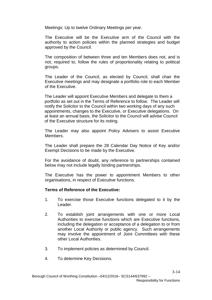Meetings: Up to twelve Ordinary Meetings per year.

The Executive will be the Executive arm of the Council with the authority to action policies within the planned strategies and budget approved by the Council.

The composition of between three and ten Members does not, and is not, required to, follow the rules of proportionality relating to political groups.

The Leader of the Council, as elected by Council, shall chair the Executive meetings and may designate a portfolio role to each Member of the Executive.

The Leader will appoint Executive Members and delegate to them a portfolio as set out in the Terms of Reference to follow. The Leader will notify the Solicitor to the Council within two working days of any such appointments, changes to the Executive, or Executive delegations. On at least an annual basis, the Solicitor to the Council will advise Council of the Executive structure for its noting.

The Leader may also appoint Policy Advisers to assist Executive Members.

The Leader shall prepare the 28 Calendar Day Notice of Key and/or Exempt Decisions to be made by the Executive.

For the avoidance of doubt, any reference to partnerships contained below may not include legally binding partnerships.

The Executive has the power to appointment Members to other organisations, in respect of Executive functions.

#### **Terms of Reference of the Executive:**

- 1. To exercise those Executive functions delegated to it by the Leader.
- 2. To establish joint arrangements with one or more Local Authorities to exercise functions which are Executive functions, including the delegation or acceptance of a delegation to or from another Local Authority or public agency. Such arrangements may involve the appointment of Joint Committees with these other Local Authorities.
- 3. To implement policies as determined by Council.
- 4. To determine Key Decisions.

3-14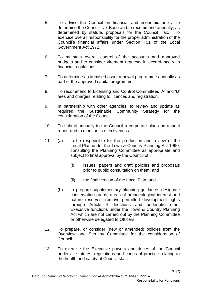- 5. To advise the Council on financial and economic policy, to determine the Council Tax Base and to recommend annually, as determined by statute, proposals for the Council Tax. To exercise overall responsibility for the proper administration of the Council's financial affairs under Section 151 of the Local Government Act 1972.
- 6. To maintain overall control of the accounts and approved budgets and to consider virement requests in accordance with financial regulations.
- 7. To determine an itemised asset renewal programme annually as part of the approved capital programme.
- 8. To recommend to Licensing and Control Committees 'A' and 'B' fees and charges relating to licences and registration.
- 9. In partnership with other agencies, to review and update as required the Sustainable Community Strategy for the consideration of the Council.
- 10. To submit annually to the Council a corporate plan and annual report and to monitor its effectiveness.
- 11. (a) to be responsible for the production and review of the Local Plan under the Town & Country Planning Act 1990, consulting the Planning Committee as appropriate and subject to final approval by the Council of :
	- (i) issues, papers and draft policies and proposals prior to public consultation on them; and
	- (ii) the final version of the Local Plan; and
	- (b) to prepare supplementary planning guidance, designate conservation areas, areas of archaeological interest and nature reserves, remove permitted development rights through Article 4 directions and undertake other Executive functions under the Town & Country Planning Act which are not carried out by the Planning Committee or otherwise delegated to Officers.
- 12. To prepare, or consider (new or amended) policies from the Overview and Scrutiny Committee for the consideration of Council.
- 13. To exercise the Executive powers and duties of the Council under all statutes, regulations and codes of practice relating to the health and safety of Council staff.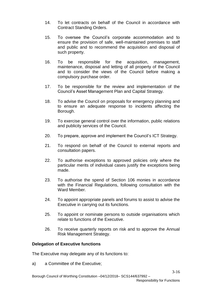- 14. To let contracts on behalf of the Council in accordance with Contract Standing Orders.
- 15. To oversee the Council's corporate accommodation and to ensure the provision of safe, well-maintained premises to staff and public and to recommend the acquisition and disposal of such property.
- 16. To be responsible for the acquisition, management, maintenance, disposal and letting of all property of the Council and to consider the views of the Council before making a compulsory purchase order.
- 17. To be responsible for the review and implementation of the Council's Asset Management Plan and Capital Strategy.
- 18. To advise the Council on proposals for emergency planning and to ensure an adequate response to incidents affecting the Borough.
- 19. To exercise general control over the information, public relations and publicity services of the Council.
- 20. To prepare, approve and implement the Council's ICT Strategy.
- 21. To respond on behalf of the Council to external reports and consultation papers.
- 22. To authorise exceptions to approved policies only where the particular merits of individual cases justify the exceptions being made.
- 23. To authorise the spend of Section 106 monies in accordance with the Financial Regulations, following consultation with the Ward Member.
- 24. To appoint appropriate panels and forums to assist to advise the Executive in carrying out its functions.
- 25. To appoint or nominate persons to outside organisations which relate to functions of the Executive.
- 26. To receive quarterly reports on risk and to approve the Annual Risk Management Strategy.

#### **Delegation of Executive functions**

The Executive may delegate any of its functions to:

a) a Committee of the Executive;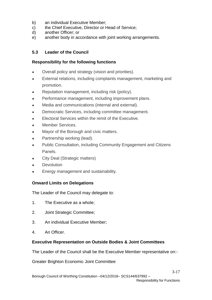- b) an individual Executive Member;
- c) the Chief Executive, Director or Head of Service;
- d) another Officer; or
- e) another body in accordance with joint working arrangements.

# **5.3 Leader of the Council**

## **Responsibility for the following functions**

- Overall policy and strategy (vision and priorities).
- External relations, including complaints management, marketing and promotion.
- Reputation management, including risk (policy).
- Performance management, including improvement plans.
- Media and communications (internal and external).
- Democratic Services, including committee management.
- Electoral Services within the remit of the Executive.
- Member Services.
- Mayor of the Borough and civic matters.
- Partnership working (lead).
- Public Consultation, including Community Engagement and Citizens Panels.
- City Deal (Strategic matters)
- **Devolution**
- Energy management and sustainability.

#### **Onward Limits on Delegations**

The Leader of the Council may delegate to:

- 1. The Executive as a whole;
- 2. Joint Strategic Committee;
- 3. An individual Executive Member;
- 4. An Officer.

#### **Executive Representation on Outside Bodies & Joint Committees**

The Leader of the Council shall be the Executive Member representative on:-

Greater Brighton Economic Joint Committee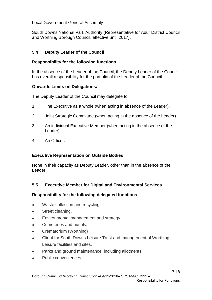# Local Government General Assembly

South Downs National Park Authority (Representative for Adur District Council and Worthing Borough Council, effective until 2017).

# **5.4 Deputy Leader of the Council**

# **Responsibility for the following functions**

In the absence of the Leader of the Council, the Deputy Leader of the Council has overall responsibility for the portfolio of the Leader of the Council.

# **Onwards Limits on Delegations:-**

The Deputy Leader of the Council may delegate to:

- 1. The Executive as a whole (when acting in absence of the Leader).
- 2. Joint Strategic Committee (when acting in the absence of the Leader).
- 3. An individual Executive Member (when acting in the absence of the Leader).
- 4. An Officer.

# **Executive Representation on Outside Bodies**

None in their capacity as Deputy Leader, other than in the absence of the Leader.

# **5.5 Executive Member for Digital and Environmental Services**

# **Responsibility for the following delegated functions**

- Waste collection and recycling.
- Street cleaning.
- Environmental management and strategy.
- Cemeteries and burials.
- Crematorium (Worthing)
- Client for South Downs Leisure Trust and management of Worthing Leisure facilities and sites.
- Parks and ground maintenance, including allotments.
- Public conveniences.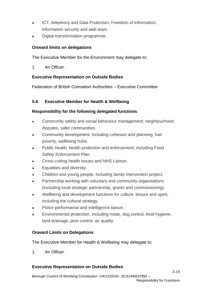- ICT, telephony and Data Protection, Freedom of Information, information security and web team.
- Digital transformation programme.

# **Onward limits on delegations**

The Executive Member for the Environment may delegate to:

1. An Officer.

# **Executive Representation on Outside Bodies**

Federation of British Cremation Authorities – Executive Committee

# **5.6 Executive Member for Health & Wellbeing**

# **Responsibility for the following delegated functions**

- Community safety anti-social behaviour management, neighbourhood disputes, safer communities.
- Community development, including cohesion and planning, fuel poverty, wellbeing hubs.
- Public health, health protection and enforcement, including Food Safety Enforcement Plan.
- Cross-cutting health issues and NHS Liaison.
- Equalities and diversity.
- Children and young people, including family intervention project.
- Partnership working with voluntary and community organisations (including local strategic partnership; grants and commissioning).
- Wellbeing and development functions for culture, leisure and sport, including the cultural strategy.
- Police performance and intelligence liaison.
- Environmental protection, including noise, dog control, food hygiene, land drainage, pest control, air quality.

# **Onward Limits on Delegations**

The Executive Member for Health & Wellbeing may delegate to:

1. An Officer.

# **Executive Representation on Outside Bodies**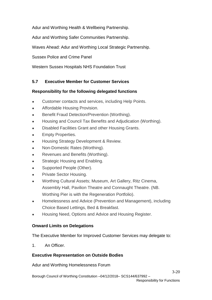Adur and Worthing Health & Wellbeing Partnership.

Adur and Worthing Safer Communities Partnership.

Waves Ahead: Adur and Worthing Local Strategic Partnership.

Sussex Police and Crime Panel

Western Sussex Hospitals NHS Foundation Trust

# **5.7 Executive Member for Customer Services**

# **Responsibility for the following delegated functions**

- Customer contacts and services, including Help Points.
- Affordable Housing Provision.
- Benefit Fraud Detection/Prevention (Worthing).
- Housing and Council Tax Benefits and Adjudication (Worthing).
- Disabled Facilities Grant and other Housing Grants.
- Empty Properties.
- Housing Strategy Development & Review.
- Non-Domestic Rates (Worthing).
- Revenues and Benefits (Worthing).
- Strategic Housing and Enabling.
- Supported People (Other).
- Private Sector Housing.
- Worthing Cultural Assets; Museum, Art Gallery, Ritz Cinema, Assembly Hall, Pavilion Theatre and Connaught Theatre. (NB. Worthing Pier is with the Regeneration Portfolio).
- Homelessness and Advice (Prevention and Management), including Choice Based Lettings, Bed & Breakfast.
- Housing Need, Options and Advice and Housing Register.

# **Onward Limits on Delegations**

The Executive Member for Improved Customer Services may delegate to:

1 An Officer

# **Executive Representation on Outside Bodies**

Adur and Worthing Homelessness Forum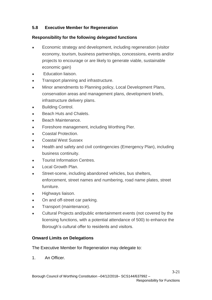# **5.8 Executive Member for Regeneration**

# **Responsibility for the following delegated functions**

- Economic strategy and development, including regeneration (visitor economy, tourism, business partnerships, concessions, events and/or projects to encourage or are likely to generate viable, sustainable economic gain)
- Education liaison.
- Transport planning and infrastructure.
- Minor amendments to Planning policy, Local Development Plans, conservation areas and management plans, development briefs, infrastructure delivery plans.
- **Building Control.**
- **Beach Huts and Chalets.**
- Beach Maintenance.
- Foreshore management, including Worthing Pier.
- Coastal Protection.
- **Coastal West Sussex**
- Health and safety and civil contingencies (Emergency Plan), including business continuity.
- **Tourist Information Centres.**
- **Local Growth Plan.**
- Street-scene, including abandoned vehicles, bus shelters, enforcement, street names and numbering, road name plates, street furniture.
- Highways liaison.
- On and off-street car parking.
- Transport (maintenance).
- Cultural Projects and/public entertainment events (not covered by the licensing functions, with a potential attendance of 500) to enhance the Borough's cultural offer to residents and visitors.

# **Onward Limits on Delegations**

The Executive Member for Regeneration may delegate to:

1. An Officer.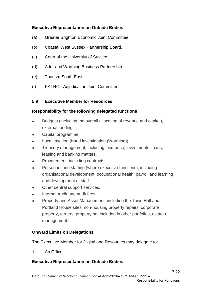# **Executive Representation on Outside Bodies**

- (a) Greater Brighton Economic Joint Committee.
- (b) Coastal West Sussex Partnership Board.
- (c) Court of the University of Sussex.
- (d) Adur and Worthing Business Partnership.
- (e) Tourism South East.
- (f) PATROL Adjudication Joint Committee

# **5.9 Executive Member for Resources**

# **Responsibility for the following delegated functions**

- Budgets (including the overall allocation of revenue and capital), external funding.
- Capital programme.
- Local taxation (fraud investigation (Worthing)).
- Treasury management, including insurance, investments, loans, leasing and banking matters.
- Procurement, including contracts.
- Personnel and staffing (where executive functions); including organisational development, occupational health, payroll and learning and development of staff.
- Other central support services.
- Internal Audit and audit fees.
- Property and Asset Management, including the Town Hall and Portland House sites; non-housing property repairs, corporate property, terriers, property not included in other portfolios, estates management.

# **Onward Limits on Delegations**

The Executive Member for Digital and Resources may delegate to:

1. An Officer.

# **Executive Representation on Outside Bodies**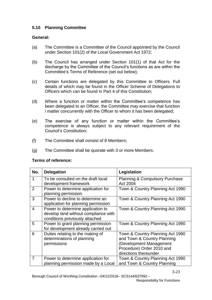# **5.10 Planning Committee**

# **General:**

- (a) The Committee is a Committee of the Council appointed by the Council under Section 101(2) of the Local Government Act 1972;
- (b) The Council has arranged under Section 101(1) of that Act for the discharge by the Committee of the Council's functions as are within the Committee's Terms of Reference (set out below);
- (c) Certain functions are delegated by this Committee to Officers. Full details of which may be found in the Officer Scheme of Delegations to Officers which can be found in Part 4 of this Constitution;
- (d) Where a function or matter within the Committee's competence has been delegated to an Officer, the Committee may exercise that function / matter concurrently with the Officer to whom it has been delegated;
- (e) The exercise of any function or matter within the Committee's competence is always subject to any relevant requirement of the Council's Constitution;
- (f) The Committee shall consist of 8 Members;
- (g) The Committee shall be quorate with 3 or more Members.

#### **Terms of reference:**

| No.            | <b>Delegation</b>                                                                                           | Legislation                                                                                                                                      |
|----------------|-------------------------------------------------------------------------------------------------------------|--------------------------------------------------------------------------------------------------------------------------------------------------|
| 1              | To be consulted on the draft local<br>development framework                                                 | <b>Planning &amp; Compulsory Purchase</b><br>Act 2004                                                                                            |
| 2              | Power to determine application for<br>planning permission                                                   | Town & Country Planning Act 1990                                                                                                                 |
| 3              | Power to decline to determine an<br>application for planning permission                                     | Town & Country Planning Act 1990                                                                                                                 |
| $\overline{4}$ | Power to determine application to<br>develop land without compliance with<br>conditions previously attached | Town & Country Planning Act 1990                                                                                                                 |
| 5              | Power to grant planning permission<br>for development already carried out                                   | Town & Country Planning Act 1990                                                                                                                 |
| 6              | Duties relating to the making of<br>determinations of planning<br>permissions                               | Town & Country Planning Act 1990<br>and Town & Country Planning<br>(Development Management<br>Procedure) Order 2010 and<br>directions thereunder |
| 7              | Power to determine application for<br>planning permission made by a Local                                   | Town & Country Planning Act 1990<br>and Town & Country Planning                                                                                  |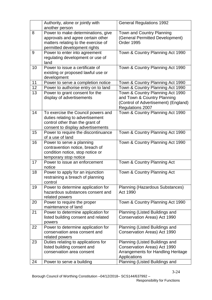|    | Authority, alone or jointly with<br>another person                                                                                             | <b>General Regulations 1992</b>                                                                                             |
|----|------------------------------------------------------------------------------------------------------------------------------------------------|-----------------------------------------------------------------------------------------------------------------------------|
| 8  | Power to make determinations, give<br>approvals and agree certain other<br>matters relating to the exercise of<br>permitted development rights | Town and Country Planning<br>(General Permitted Development)<br>Order 1995                                                  |
| 9  | Power to enter into agreement<br>regulating development or use of<br>land                                                                      | Town & Country Planning Act 1990                                                                                            |
| 10 | Power to issue a certificate of<br>existing or proposed lawful use or<br>development                                                           | Town & Country Planning Act 1990                                                                                            |
| 11 | Power to serve a completion notice                                                                                                             | Town & Country Planning Act 1990                                                                                            |
| 12 | Power to authorise entry on to land                                                                                                            | Town & Country Planning Act 1990                                                                                            |
| 13 | Power to grant consent for the<br>display of advertisements                                                                                    | Town & Country Planning Act 1990<br>and Town & Country Planning<br>(Control of Advertisement) (England)<br>Regulations 2007 |
| 14 | To exercise the Council powers and<br>duties relating to advertisement<br>control other than the grant of<br>consent to display advertisements | Town & Country Planning Act 1990                                                                                            |
| 15 | Power to require the discontinuance<br>of a use of land                                                                                        | Town & Country Planning Act 1990                                                                                            |
| 16 | Power to serve a planning<br>contravention notice, breach of<br>condition notice, stop notice or<br>temporary stop notice                      | Town & Country Planning Act 1990                                                                                            |
| 17 | Power to issue an enforcement<br>notice                                                                                                        | Town & Country Planning Act                                                                                                 |
| 18 | Power to apply for an injunction<br>restraining a breach of planning<br>control                                                                | Town & Country Planning Act                                                                                                 |
| 19 | Power to determine application for<br>hazardous substances consent and<br>related powers                                                       | Planning (Hazardous Substances)<br>Act 1990                                                                                 |
| 20 | Power to require the proper<br>maintenance of land                                                                                             | Town & Country Planning Act 1990                                                                                            |
| 21 | Power to determine application for<br>listed building consent and related<br>powers                                                            | Planning (Listed Buildings and<br>Conservation Areas) Act 1990                                                              |
| 22 | Power to determine application for<br>conservation area consent and<br>related powers                                                          | Planning (Listed Buildings and<br>Conservation Areas) Act 1990                                                              |
| 23 | Duties relating to applications for<br>listed building consent and<br>conservation area consent                                                | Planning (Listed Buildings and<br>Conservation Areas) Act 1990<br>Arrangements for Handling Heritage<br>Applications        |
| 24 | Power to serve a building                                                                                                                      | Planning (Listed Buildings and                                                                                              |

3-24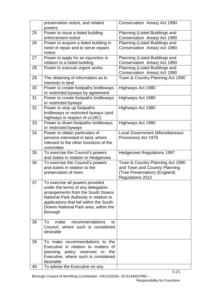|          | preservation notice, and related<br>powers                                                                                                                                                                                                        | Conservation Areas) Act 1990                                                                                                  |
|----------|---------------------------------------------------------------------------------------------------------------------------------------------------------------------------------------------------------------------------------------------------|-------------------------------------------------------------------------------------------------------------------------------|
| 25       | Power to issue a listed building<br>enforcement notice                                                                                                                                                                                            | Planning (Listed Buildings and<br>Conservation Areas) Act 1990                                                                |
| 26       | Power to acquire a listed building in<br>need of repair and to serve repairs<br>notice                                                                                                                                                            | Planning (Listed Buildings and<br>Conservation Areas) Act 1990                                                                |
| 27       | Power to apply for an injunction in<br>relation to a listed building                                                                                                                                                                              | Planning (Listed Buildings and<br>Conservation Areas) Act 1990                                                                |
| 28       | Power to execute urgent works                                                                                                                                                                                                                     | Planning (Listed Buildings and<br>Conservation Areas) Act 1990                                                                |
| 29       | The obtaining of information as to<br>interests in land                                                                                                                                                                                           | Town & Country Planning Act 1990                                                                                              |
| 30       | Power to create footpaths bridleways<br>or restricted byways by agreement                                                                                                                                                                         | Highways Act 1980                                                                                                             |
| 31       | Power to create footpaths bridleways<br>or restricted byways                                                                                                                                                                                      | Highways Act 1980                                                                                                             |
| 32       | Power to stop up footpaths<br>bridleways or restricted byways (and<br>highways in respect of s118C)                                                                                                                                               | Highways Act 1980                                                                                                             |
| 33       | Power to divert footpaths bridleways<br>or restricted byways                                                                                                                                                                                      | Highways Act 1980                                                                                                             |
| 34       | Power to obtain particulars of<br>persons interested in land, where<br>relevant to the other functions of the<br>committee                                                                                                                        | <b>Local Government (Miscellaneous</b><br>Provisions) Act 1976                                                                |
| 35       | To exercise the Council's powers<br>and duties in relation to Hedgerows                                                                                                                                                                           | <b>Hedgerows Regulations 1997</b>                                                                                             |
| 36       | To exercise the Council's powers<br>and duties in relation to the<br>preservation of trees                                                                                                                                                        | Town & Country Planning Act 1990<br>and Town and Country Planning<br>(Tree Preservation) (England)<br><b>Regulations 2012</b> |
| 37       | To exercise all powers provided<br>under the terms of any delegation<br>arrangements from the South Downs<br>National Park Authority in relation to<br>applications that fall within the South<br>Downs National Park area, within the<br>Borough |                                                                                                                               |
| 38       | make<br>recommendations<br>To<br>to<br>Council, where such is considered<br>desirable                                                                                                                                                             |                                                                                                                               |
| 39<br>40 | To make recommendations to the<br>Executive in relation to matters of<br>planning policy reserved to<br>the<br>Executive, where such is considered<br>desirable<br>To advise the Executive on any                                                 |                                                                                                                               |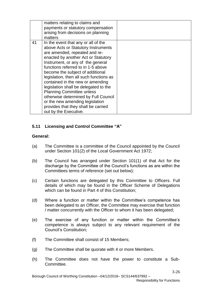|    | matters relating to claims and<br>payments or statutory compensation<br>arising from decisions on planning<br>matters                                                                                                                                                                                                                                                                                                                                                                                                                                                    |  |
|----|--------------------------------------------------------------------------------------------------------------------------------------------------------------------------------------------------------------------------------------------------------------------------------------------------------------------------------------------------------------------------------------------------------------------------------------------------------------------------------------------------------------------------------------------------------------------------|--|
| 41 | In the event that any or all of the<br>above Acts or Statutory Instruments<br>are amended, repealed and re-<br>enacted by another Act or Statutory<br>Instrument, or any of the general<br>functions referred to in 1-5 above<br>become the subject of additional<br>legislation, then all such functions as<br>contained in the new or amending<br>legislation shall be delegated to the<br><b>Planning Committee unless</b><br>otherwise determined by Full Council<br>or the new amending legislation<br>provides that they shall be carried<br>out by the Executive. |  |

# **5.11 Licensing and Control Committee "A"**

## **General:**

- (a) The Committee is a committee of the Council appointed by the Council under Section 101(2) of the Local Government Act 1972;
- (b) The Council has arranged under Section 101(1) of that Act for the discharge by the Committee of the Council's functions as are within the Committees terms of reference (set out below);
- (c) Certain functions are delegated by this Committee to Officers. Full details of which may be found in the Officer Scheme of Delegations which can be found in Part 4 of this Constitution;
- (d) Where a function or matter within the Committee's competence has been delegated to an Officer, the Committee may exercise that function / matter concurrently with the Officer to whom it has been delegated;
- (e) The exercise of any function or matter within the Committee's competence is always subject to any relevant requirement of the Council's Constitution;
- (f) The Committee shall consist of 15 Members;
- (g) The Committee shall be quorate with 4 or more Members.
- (h) The Committee does not have the power to constitute a Sub-**Committee**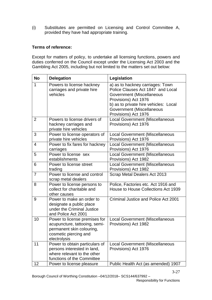(i) Substitutes are permitted on Licensing and Control Committee A, provided they have had appropriate training.

## **Terms of reference:**

Except for matters of policy, to undertake all licensing functions, powers and duties conferred on the Council except under the Licensing Act 2003 and the Gambling Act 2005, including but not limited to the matters set out below:

| <b>No</b>      | <b>Delegation</b>                                                                                                                    | Legislation                                                                                                                                                                                                              |
|----------------|--------------------------------------------------------------------------------------------------------------------------------------|--------------------------------------------------------------------------------------------------------------------------------------------------------------------------------------------------------------------------|
| 1              | Powers to license hackney<br>carriages and private hire<br>vehicles                                                                  | a) as to hackney carriages: Town<br>Police Clauses Act 1847 and Local<br>Government (Miscellaneous<br>Provisions) Act 1976<br>b) as to private hire vehicles: Local<br>Government (Miscellaneous<br>Provisions) Act 1976 |
| $\overline{2}$ | Powers to license drivers of<br>hackney carriages and<br>private hire vehicles                                                       | <b>Local Government (Miscellaneous</b><br>Provisions) Act 1976                                                                                                                                                           |
| 3              | Power to license operators of<br>private hire vehicles                                                                               | <b>Local Government (Miscellaneous</b><br>Provisions) Act 1976                                                                                                                                                           |
| 4              | Power to fix fares for hackney<br>carriages                                                                                          | <b>Local Government (Miscellaneous</b><br>Provisions) Act 1976                                                                                                                                                           |
| 5              | Power to license sex<br>establishments                                                                                               | <b>Local Government (Miscellaneous</b><br>Provisions) Act 1982                                                                                                                                                           |
| 6              | Power to license street<br>trading                                                                                                   | <b>Local Government (Miscellaneous</b><br>Provisions) Act 1982                                                                                                                                                           |
| 7              | Power to license and control<br>scrap metal dealers                                                                                  | Scrap Metal Dealers Act 2013                                                                                                                                                                                             |
| 8              | Power to license persons to<br>collect for charitable and<br>other causes                                                            | Police, Factories etc. Act 1916 and<br>House to House Collections Act 1939                                                                                                                                               |
| 9              | Power to make an order to<br>designate a public place<br>under the Criminal Justice<br>and Police Act 2001                           | <b>Criminal Justice and Police Act 2001</b>                                                                                                                                                                              |
| 10             | Power to license premises for<br>acupuncture, tattooing, semi-<br>permanent skin colouring,<br>cosmetic piercing and<br>electrolysis | <b>Local Government (Miscellaneous</b><br>Provisions) Act 1982                                                                                                                                                           |
| 11             | Power to obtain particulars of<br>persons interested in land,<br>where relevant to the other<br>functions of the Committee           | <b>Local Government (Miscellaneous</b><br>Provisions) Act 1976                                                                                                                                                           |
| 12             | Power to license pleasure                                                                                                            | Public Health Act (as amended) 1907                                                                                                                                                                                      |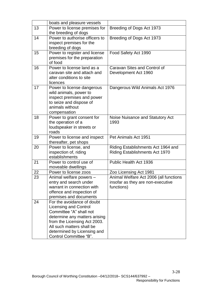|    | boats and pleasure vessels                                                                                                                                                                                                                   |                                                                                           |
|----|----------------------------------------------------------------------------------------------------------------------------------------------------------------------------------------------------------------------------------------------|-------------------------------------------------------------------------------------------|
| 13 | Power to license premises for<br>the breeding of dogs                                                                                                                                                                                        | Breeding of Dogs Act 1973                                                                 |
| 14 | Power to authorise officers to<br>inspect premises for the<br>breeding of dogs                                                                                                                                                               | Breeding of Dogs Act 1973                                                                 |
| 15 | Power to register and license<br>premises for the preparation<br>of food                                                                                                                                                                     | Food Safety Act 1990                                                                      |
| 16 | Power to license land as a<br>caravan site and attach and<br>alter conditions to site<br>licences                                                                                                                                            | Caravan Sites and Control of<br>Development Act 1960                                      |
| 17 | Power to license dangerous<br>wild animals, power to<br>inspect premises and power<br>to seize and dispose of<br>animals without<br>compensation                                                                                             | Dangerous Wild Animals Act 1976                                                           |
| 18 | Power to grant consent for<br>the operation of a<br>loudspeaker in streets or<br>roads                                                                                                                                                       | Noise Nuisance and Statutory Act<br>1993                                                  |
| 19 | Power to license and inspect<br>thereafter, pet shops                                                                                                                                                                                        | Pet Animals Act 1951                                                                      |
| 20 | Power to license, and<br>inspection of, riding<br>establishments                                                                                                                                                                             | Riding Establishments Act 1964 and<br>Riding Establishments Act 1970                      |
| 21 | Power to control use of<br>moveable dwellings                                                                                                                                                                                                | Public Health Act 1936                                                                    |
| 22 | Power to license zoos                                                                                                                                                                                                                        | Zoo Licensing Act 1981                                                                    |
| 23 | Animal welfare powers –<br>entry and search under<br>warrant in connection with<br>offence and inspection of<br>premises and documents                                                                                                       | Animal Welfare Act 2006 (all functions<br>insofar as they are non-executive<br>functions) |
| 24 | For the avoidance of doubt<br><b>Licensing and Control</b><br>Committee "A" shall not<br>determine any matters arising<br>from the Licensing Act 2003.<br>All such matters shall be<br>determined by Licensing and<br>Control Committee "B". |                                                                                           |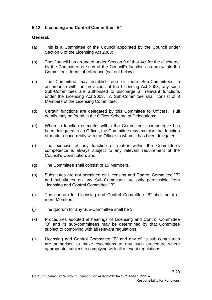# **5.12 Licensing and Control Committee "B"**

## **General:**

- (a) This is a Committee of the Council appointed by the Council under Section 6 of the Licensing Act 2003;
- (b) The Council has arranged under Section 9 of that Act for the discharge by the Committee of such of the Council's functions as are within the Committee's terms of reference (set out below);
- (c) The Committee may establish one or more Sub-Committees in accordance with the provisions of the Licensing Act 2003; any such Sub-Committees are authorised to discharge all relevant functions under the Licensing Act 2003. A Sub-Committee shall consist of 3 Members of the Licensing Committee;
- (d) Certain functions are delegated by this Committee to Officers. Full details may be found in the Officer Scheme of Delegations;
- (e) Where a function or matter within the Committee's competence has been delegated to an Officer, the Committee may exercise that function or matter concurrently with the Officer to whom it has been delegated;
- (f) The exercise of any function or matter within the Committee's competence is always subject to any relevant requirement of the Council's Constitution; and
- (g) The Committee shall consist of 15 Members.
- (h) Substitutes are not permitted on Licensing and Control Committee "B" and substitutes on any Sub-Committee are only permissible from Licensing and Control Committee "B".
- (i) The quorum for Licensing and Control Committee "B" shall be 4 or more Members.
- (j) The quorum for any Sub-Committee shall be 3.
- (k) Procedures adopted at hearings of Licensing and Control Committee "B" and its sub-committees may be determined by that Committee subject to complying with all relevant regulations.
- (l) Licensing and Control Committee "B" and any of its sub-committees are authorised to make exceptions to any such procedure where appropriate, subject to complying with all relevant regulations.

3-29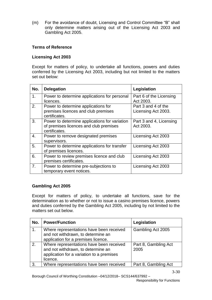(m) For the avoidance of doubt, Licensing and Control Committee "B" shall only determine matters arising out of the Licensing Act 2003 and Gambling Act 2005.

## **Terms of Reference**

#### **Licensing Act 2003**

Except for matters of policy, to undertake all functions, powers and duties conferred by the Licensing Act 2003, including but not limited to the matters set out below:

| No. | <b>Delegation</b>                                                                                        | Legislation                                |
|-----|----------------------------------------------------------------------------------------------------------|--------------------------------------------|
| 1.  | Power to determine applications for personal<br>licences.                                                | Part 6 of the Licensing<br>Act 2003.       |
| 2.  | Power to determine applications for<br>premises licences and club premises<br>certificates.              | Part 3 and 4 of the<br>Licensing Act 2003. |
| 3.  | Power to determine applications for variation<br>of premises licences and club premises<br>certificates. | Part 3 and 4, Licensing<br>Act 2003.       |
| 4.  | Power to remove designated premises<br>supervisors.                                                      | Licensing Act 2003                         |
| 5.  | Power to determine applications for transfer<br>of premises licences.                                    | Licensing Act 2003                         |
| 6.  | Power to review premises licence and club<br>premises certificates.                                      | Licensing Act 2003                         |
| 7.  | Power to determine pre-subjections to<br>temporary event notices.                                        | Licensing Act 2003                         |

#### **Gambling Act 2005**

Except for matters of policy, to undertake all functions, save for the determination as to whether or not to issue a casino premises licence, powers and duties conferred by the Gambling Act 2005, including by not limited to the matters set out below.

| No.           | <b>Power/Function</b>                                                                                                                   | Legislation                  |
|---------------|-----------------------------------------------------------------------------------------------------------------------------------------|------------------------------|
| $\mathbf 1$ . | Where representations have been received<br>and not withdrawn, to determine an<br>application for a premises licence.                   | Gambling Act 2005            |
| 2.            | Where representations have been received<br>and not withdrawn, to determine an<br>application for a variation to a premises<br>licence. | Part 8, Gambling Act<br>2005 |
| 3.            | Where representations have been received                                                                                                | Part 8, Gambling Act         |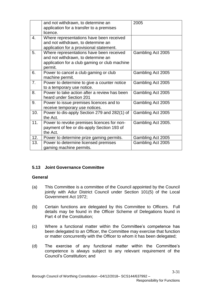|     | and not withdrawn, to determine an<br>application for a transfer to a premises<br>licence.                                                 | 2005               |
|-----|--------------------------------------------------------------------------------------------------------------------------------------------|--------------------|
| 4.  | Where representations have been received<br>and not withdrawn, to determine an<br>application for a provisional statement.                 |                    |
| 5.  | Where representations have been received<br>and not withdrawn, to determine an<br>application for a club gaming or club machine<br>permit. | Gambling Act 2005  |
| 6.  | Power to cancel a club gaming or club<br>machine permit.                                                                                   | Gambling Act 2005  |
| 7.  | Power to determine to give a counter notice<br>to a temporary use notice.                                                                  | Gambling Act 2005  |
| 8.  | Power to take action after a review has been<br>heard under Section 201                                                                    | Gambling Act 2005  |
| 9.  | Power to issue premises licences and to<br>receive temporary use notices.                                                                  | Gambling Act 2005  |
| 10. | Power to dis-apply Section 279 and 282(1) of<br>the Act.                                                                                   | Gambling Act 2005  |
| 11. | Power to revoke premises licences for non-<br>payment of fee or dis-apply Section 193 of<br>the Act.                                       | Gambling Act 2005. |
| 12. | Power to determine prize gaming permits.                                                                                                   | Gambling Act 2005  |
| 13. | Power to determine licensed premises<br>gaming machine permits.                                                                            | Gambling Act 2005  |

# **5.13 Joint Governance Committee**

# **General**

- (a) This Committee is a committee of the Council appointed by the Council jointly with Adur District Council under Section 101(5) of the Local Government Act 1972;
- (b) Certain functions are delegated by this Committee to Officers. Full details may be found in the Officer Scheme of Delegations found in Part 4 of the Constitution;
- (c) Where a functional matter within the Committee's competence has been delegated to an Officer, the Committee may exercise that function or matter concurrently with the Officer to whom it has been delegated;
- (d) The exercise of any functional matter within the Committee's competence is always subject to any relevant requirement of the Council's Constitution; and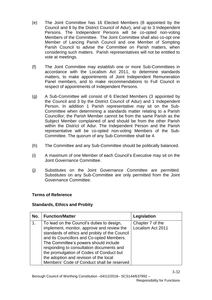- (e) The Joint Committee has 16 Elected Members (8 appointed by the Council and 8 by the District Council of Adur), and up to 3 Independent Persons. The Independent Persons will be co-opted non-voting Members of the Committee. The Joint Committee shall also co-opt one Member of Lancing Parish Council and one Member of Sompting Parish Council to advise the Committee on Parish matters, when considering such matters. Parish representatives will not be entitled to vote at meetings.
- (f) The Joint Committee may establish one or more Sub-Committees in accordance with the Localism Act 2011, to determine standards matters, to make appointments of Joint Independent Remuneration Panel members, and to make recommendations to Full Council in respect of appointments of Independent Persons.
- (g) A Sub-Committee will consist of 6 Elected Members (3 appointed by the Council and 3 by the District Council of Adur) and 1 Independent Person. In addition 1 Parish representative may sit on the Sub-Committee when determining a standards matter relating to a Parish Councillor; the Parish Member cannot be from the same Parish as the Subject Member complained of and should be from the other Parish within the District of Adur. The Independent Person and the Parish representative will be co-opted non-voting Members of the Sub-Committee. The quorum of any Sub-Committee shall be 4.
- (h) The Committee and any Sub-Committee should be politically balanced.
- (i) A maximum of one Member of each Council's Executive may sit on the Joint Governance Committee.
- (j) Substitutes on the Joint Governance Committee are permitted. Substitutes on any Sub-Committee are only permitted from the Joint Governance Committee.

#### **Standards, Ethics and Probity**

| No. | <b>Function/Matter</b>                                                                                                                                                                                                                                                                                                                                             | Legislation                           |
|-----|--------------------------------------------------------------------------------------------------------------------------------------------------------------------------------------------------------------------------------------------------------------------------------------------------------------------------------------------------------------------|---------------------------------------|
| 1.  | To lead on the Council's duties to design,<br>implement, monitor, approve and review the<br>standards of ethics and probity of the Council<br>and its Councillors and Co-opted Members.<br>The Committee's powers should include<br>responding to consultation documents and<br>the promulgation of Codes of Conduct but<br>the adoption and revision of the local | Chapter 7 of the<br>Localism Act 2011 |
|     | Members' Code of Conduct shall be reserved                                                                                                                                                                                                                                                                                                                         |                                       |

3-32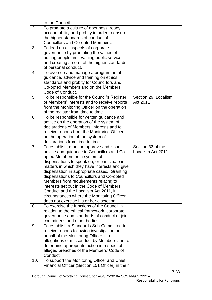|     | to the Council.                                                                                 |                      |
|-----|-------------------------------------------------------------------------------------------------|----------------------|
| 2.  | To promote a culture of openness, ready                                                         |                      |
|     | accountability and probity in order to ensure                                                   |                      |
|     | the higher standards of conduct of                                                              |                      |
|     | Councillors and Co-opted Members.                                                               |                      |
| 3.  | To lead on all aspects of corporate                                                             |                      |
|     | governance by promoting the values of                                                           |                      |
|     | putting people first, valuing public service                                                    |                      |
|     | and creating a norm of the higher standards                                                     |                      |
|     | of personal conduct.                                                                            |                      |
| 4.  | To oversee and manage a programme of                                                            |                      |
|     | quidance, advice and training on ethics,                                                        |                      |
|     | standards and probity for Councillors and                                                       |                      |
|     | Co-opted Members and on the Members'                                                            |                      |
|     | Code of Conduct.                                                                                |                      |
| 5.  | To be responsible for the Council's Register                                                    | Section 29, Localism |
|     | of Members' Interests and to receive reports                                                    | Act 2011             |
|     | from the Monitoring Officer on the operation                                                    |                      |
|     | of the register from time to time.                                                              |                      |
| 6.  | To be responsible for written guidance and                                                      |                      |
|     | advice on the operation of the system of                                                        |                      |
|     | declarations of Members' interests and to                                                       |                      |
|     | receive reports from the Monitoring Officer                                                     |                      |
|     | on the operation of the system of<br>declarations from time to time.                            |                      |
|     |                                                                                                 |                      |
|     |                                                                                                 |                      |
| 7.  | To establish, monitor, approve and issue                                                        | Section 33 of the    |
|     | advice and guidance to Councillors and Co-                                                      | Localism Act 2011.   |
|     | opted Members on a system of                                                                    |                      |
|     | dispensations to speak on, or participate in,                                                   |                      |
|     | matters in which they have interests and give                                                   |                      |
|     | dispensation in appropriate cases. Granting                                                     |                      |
|     | dispensations to Councillors and Co-opted                                                       |                      |
|     | Members from requirements relating to                                                           |                      |
|     | interests set out in the Code of Members'                                                       |                      |
|     | Conduct and the Localism Act 2011, in                                                           |                      |
|     | circumstances where the Monitoring Officer<br>does not exercise his or her discretion.          |                      |
|     | To exercise the functions of the Council in                                                     |                      |
| 8.  |                                                                                                 |                      |
|     | relation to the ethical framework, corporate                                                    |                      |
|     | governance and standards of conduct of joint<br>committees and other bodies.                    |                      |
| 9.  | To establish a Standards Sub-Committee to                                                       |                      |
|     | receive reports following investigation on                                                      |                      |
|     | behalf of the Monitoring Officer into                                                           |                      |
|     | allegations of misconduct by Members and to                                                     |                      |
|     | determine appropriate action in respect of                                                      |                      |
|     | alleged breaches of the Members' Code of                                                        |                      |
|     | Conduct.                                                                                        |                      |
| 10. | To support the Monitoring Officer and Chief<br>Financial Officer (Section 151 Officer) in their |                      |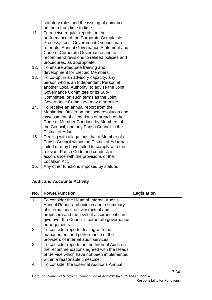|     | statutory roles and the issuing of guidance                                                   |  |
|-----|-----------------------------------------------------------------------------------------------|--|
|     | on them from time to time.                                                                    |  |
| 11. | To receive regular reports on the                                                             |  |
|     | performance of the Corporate Complaints                                                       |  |
|     | Process, Local Government Ombudsman                                                           |  |
|     | referrals, Annual Governance Statement and                                                    |  |
|     | Code of Corporate Governance and to                                                           |  |
|     | recommend revisions to related policies and                                                   |  |
|     | procedures, as appropriate.                                                                   |  |
| 12. | To ensure adequate training and                                                               |  |
|     | development for Elected Members.                                                              |  |
| 13. | To co-opt in an advisory capacity, any                                                        |  |
|     | person who is an Independent Person at                                                        |  |
|     | another Local Authority, to advise the Joint                                                  |  |
|     | Governance Committee or its Sub-                                                              |  |
|     | Committee, on such terms as the Joint                                                         |  |
|     | Governance Committee may determine.                                                           |  |
| 14. | To receive an annual report from the                                                          |  |
|     | Monitoring Officer on the local resolution and                                                |  |
|     | assessment of allegations of breach of the                                                    |  |
|     | Code of Member Conduct, by Members of                                                         |  |
|     | the Council, and any Parish Council in the                                                    |  |
|     | District of Adur.                                                                             |  |
| 15. | Dealing with allegations that a Member of a<br>Parish Council within the District of Adur has |  |
|     |                                                                                               |  |
|     | failed or may have failed to comply with the                                                  |  |
|     | relevant Parish Code and conduct, in                                                          |  |
|     | accordance with the provisions of the<br>Localism Act.                                        |  |
|     |                                                                                               |  |
| 16. | Any other functions imposed by statute.                                                       |  |

# **Audit and Accounts Activity**

| No. | <b>Power/Function</b>                                                             | Legislation |
|-----|-----------------------------------------------------------------------------------|-------------|
| 1.  | To consider the Head of Internal Audit's                                          |             |
|     | Annual Report and opinion and a summary<br>of internal audit activity (actual and |             |
|     | proposed) and the level of assurance it can                                       |             |
|     | give over the Council's corporate governance                                      |             |
|     | arrangements.                                                                     |             |
| 2.  | To consider reports dealing with the                                              |             |
|     | management and performance of the                                                 |             |
|     | providers of internal audit services.                                             |             |
| 3.  | To consider reports on the Internal Audit on                                      |             |
|     | the recommendations agreed with the Heads                                         |             |
|     | of Service which have not been implemented                                        |             |
|     | within a reasonable timescale.                                                    |             |
| 4.  | To consider the External Auditor's Annual                                         |             |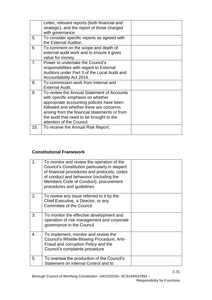|     | Letter, relevant reports (both financial and<br>strategic), and the report of those charged<br>with governance.                                                                                                                                                                                   |  |
|-----|---------------------------------------------------------------------------------------------------------------------------------------------------------------------------------------------------------------------------------------------------------------------------------------------------|--|
| 5.  | To consider specific reports as agreed with<br>the External Auditor.                                                                                                                                                                                                                              |  |
| 6.  | To comment on the scope and depth of<br>external audit work and to ensure it gives<br>value for money.                                                                                                                                                                                            |  |
| 7.  | Power to undertake the Council's<br>responsibilities with regard to External<br>Auditors under Part 3 of the Local Audit and<br>Accountability Act 2014.                                                                                                                                          |  |
| 8.  | To commission work from Internal and<br><b>External Audit.</b>                                                                                                                                                                                                                                    |  |
| 9.  | To review the Annual Statement of Accounts<br>with specific emphasis on whether<br>appropriate accounting policies have been<br>followed and whether there are concerns<br>arising from the financial statements or from<br>the audit that need to be brought to the<br>attention of the Council. |  |
| 10. | To receive the Annual Risk Report.                                                                                                                                                                                                                                                                |  |

# **Constitutional Framework**

| 1. | To monitor and review the operation of the<br>Council's Constitution particularly in respect<br>of financial procedures and protocols, codes<br>of conduct and behaviour (including the<br>Members Code of Conduct), procurement<br>procedures and guidelines |  |
|----|---------------------------------------------------------------------------------------------------------------------------------------------------------------------------------------------------------------------------------------------------------------|--|
| 2. | To review any issue referred to it by the<br>Chief Executive, a Director, or any<br><b>Committee of the Council</b>                                                                                                                                           |  |
| 3. | To monitor the effective development and<br>operation of risk management and corporate<br>governance in the Council                                                                                                                                           |  |
| 4. | To implement, monitor and review the<br>Council's Whistle-Blowing Procedure, Anti-<br>Fraud and corruption Policy and the<br>Council's complaints procedure                                                                                                   |  |
| 5. | To oversee the production of the Council's<br>Statement on Internal Control and to                                                                                                                                                                            |  |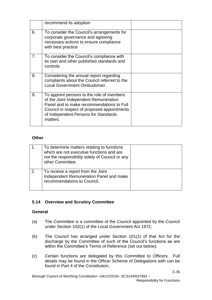|    | recommend its adoption                                                                                                                                                                                                             |  |
|----|------------------------------------------------------------------------------------------------------------------------------------------------------------------------------------------------------------------------------------|--|
| 6. | To consider the Council's arrangements for<br>corporate governance and agreeing<br>necessary actions to ensure compliance<br>with best practice                                                                                    |  |
| 7. | To consider the Council's compliance with<br>its own and other published standards and<br>controls                                                                                                                                 |  |
| 8. | Considering the annual report regarding<br>complaints about the Council referred to the<br><b>Local Government Ombudsman</b>                                                                                                       |  |
| 9. | To appoint persons to the role of members<br>of the Joint Independent Remuneration<br>Panel and to make recommendations to Full<br>Council in respect of proposed appointments<br>of Independent Persons for Standards<br>matters. |  |

## **Other**

|    | To determine matters relating to functions<br>which are not executive functions and are<br>not the responsibility solely of Council or any<br>other Committee. |  |
|----|----------------------------------------------------------------------------------------------------------------------------------------------------------------|--|
| 2. | To receive a report from the Joint<br>Independent Remuneration Panel and make<br>recommendations to Council.                                                   |  |

# **5.14 Overview and Scrutiny Committee**

# **General**

- (a) The Committee is a committee of the Council appointed by the Council under Section 102(1) of the Local Government Act 1972;
- (b) The Council has arranged under Section 101(1) of that Act for the discharge by the Committee of such of the Council's functions as are within the Committee's Terms of Reference (set out below);
- (c) Certain functions are delegated by this Committee to Officers. Full details may be found in the Officer Scheme of Delegations with can be found in Part 4 of the Constitution;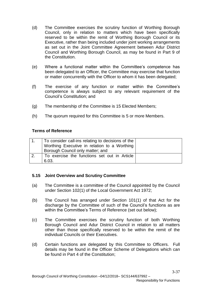- (d) The Committee exercises the scrutiny function of Worthing Borough Council, only in relation to matters which have been specifically reserved to be within the remit of Worthing Borough Council or its Executive, rather than being included under joint working arrangements as set out in the Joint Committee Agreement between Adur District Council and Worthing Borough Council, as may be found in Part 9 of the Constitution.
- (e) Where a functional matter within the Committee's competence has been delegated to an Officer, the Committee may exercise that function or matter concurrently with the Officer to whom it has been delegated;
- (f) The exercise of any function or matter within the Committee's competence is always subject to any relevant requirement of the Council's Constitution; and
- (g) The membership of the Committee is 15 Elected Members;
- (h) The quorum required for this Committee is 5 or more Members.

|    | To consider call-ins relating to decisions of the<br>Worthing Executive in relation to a Worthing<br>Borough Council only matter; and |  |
|----|---------------------------------------------------------------------------------------------------------------------------------------|--|
| 2. | To exercise the functions set out in Article<br>6.03.                                                                                 |  |

# **5.15 Joint Overview and Scrutiny Committee**

- (a) The Committee is a committee of the Council appointed by the Council under Section 102(1) of the Local Government Act 1972;
- (b) The Council has arranged under Section 101(1) of that Act for the discharge by the Committee of such of the Council's functions as are within the Committee's Terms of Reference (set out below);
- (c) The Committee exercises the scrutiny function of both Worthing Borough Council and Adur District Council in relation to all matters other than those specifically reserved to be within the remit of the individual Councils or their Executives.
- (d) Certain functions are delegated by this Committee to Officers. Full details may be found in the Officer Scheme of Delegations which can be found in Part 4 of the Constitution;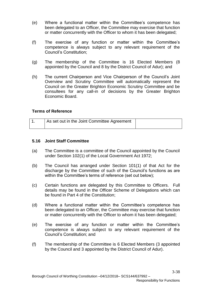- (e) Where a functional matter within the Committee's competence has been delegated to an Officer, the Committee may exercise that function or matter concurrently with the Officer to whom it has been delegated;
- (f) The exercise of any function or matter within the Committee's competence is always subject to any relevant requirement of the Council's Constitution;
- (g) The membership of the Committee is 16 Elected Members (8 appointed by the Council and 8 by the District Council of Adur); and
- (h) The current Chairperson and Vice Chairperson of the Council's Joint Overview and Scrutiny Committee will automatically represent the Council on the Greater Brighton Economic Scrutiny Committee and be consultees for any call-in of decisions by the Greater Brighton Economic Board.

| As set out in the Joint Committee Agreement |  |
|---------------------------------------------|--|
|                                             |  |

## **5.16 Joint Staff Committee**

- (a) The Committee is a committee of the Council appointed by the Council under Section 102(1) of the Local Government Act 1972;
- (b) The Council has arranged under Section 101(1) of that Act for the discharge by the Committee of such of the Council's functions as are within the Committee's terms of reference (set out below);
- (c) Certain functions are delegated by this Committee to Officers. Full details may be found in the Officer Scheme of Delegations which can be found in Part 4 of the Constitution;
- (d) Where a functional matter within the Committee's competence has been delegated to an Officer, the Committee may exercise that function or matter concurrently with the Officer to whom it has been delegated;
- (e) The exercise of any function or matter within the Committee's competence is always subject to any relevant requirement of the Council's Constitution; and
- (f) The membership of the Committee is 6 Elected Members (3 appointed by the Council and 3 appointed by the District Council of Adur).

3-38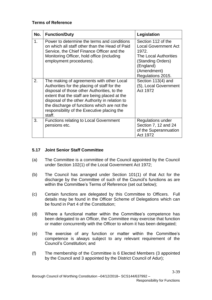| No. | <b>Function/Duty</b>                                                                                                                                                                                                                                                                                                                                 | Legislation                                                                                                                                                      |
|-----|------------------------------------------------------------------------------------------------------------------------------------------------------------------------------------------------------------------------------------------------------------------------------------------------------------------------------------------------------|------------------------------------------------------------------------------------------------------------------------------------------------------------------|
| 1.  | Power to determine the terms and conditions<br>on which all staff other than the Head of Paid<br>Service, the Chief Finance Officer and the<br>Monitoring Officer, hold office (including<br>employment procedures).                                                                                                                                 | Section 112 of the<br><b>Local Government Act</b><br>1972.<br><b>The Local Authorities</b><br>(Standing Orders)<br>(England)<br>(Amendment)<br>Regulations 2015. |
| 2.  | The making of agreements with other Local<br>Authorities for the placing of staff for the<br>disposal of those other Authorities, to the<br>extent that the staff are being placed at the<br>disposal of the other Authority in relation to<br>the discharge of functions which are not the<br>responsibility of the Executive placing the<br>staff. | Section 113(4) and<br>(5), Local Government<br>Act 1972                                                                                                          |
| 3.  | <b>Functions relating to Local Government</b><br>pensions etc.                                                                                                                                                                                                                                                                                       | Regulations under<br>Section 7, 12 and 24<br>of the Superannuation<br>Act 1972                                                                                   |

## **5.17 Joint Senior Staff Committee**

- (a) The Committee is a committee of the Council appointed by the Council under Section 102(1) of the Local Government Act 1972;
- (b) The Council has arranged under Section 101(1) of that Act for the discharge by the Committee of such of the Council's functions as are within the Committee's Terms of Reference (set out below);
- (c) Certain functions are delegated by this Committee to Officers. Full details may be found in the Officer Scheme of Delegations which can be found in Part 4 of the Constitution;
- (d) Where a functional matter within the Committee's competence has been delegated to an Officer, the Committee may exercise that function or matter concurrently with the Officer to whom it has been delegated;
- (e) The exercise of any function or matter within the Committee's competence is always subject to any relevant requirement of the Council's Constitution; and
- (f) The membership of the Committee is 6 Elected Members (3 appointed by the Council and 3 appointed by the District Council of Adur);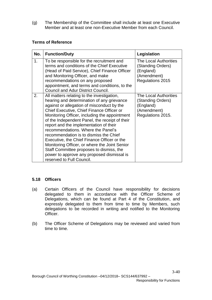(g) The Membership of the Committee shall include at least one Executive Member and at least one non-Executive Member from each Council.

# **Terms of Reference**

| No. | <b>Function/Duty</b>                                                                                                                                                                                                                                                                                                                                                                                                                                                                                                                                                                                                                    | Legislation                                                                                 |
|-----|-----------------------------------------------------------------------------------------------------------------------------------------------------------------------------------------------------------------------------------------------------------------------------------------------------------------------------------------------------------------------------------------------------------------------------------------------------------------------------------------------------------------------------------------------------------------------------------------------------------------------------------------|---------------------------------------------------------------------------------------------|
| 1.  | To be responsible for the recruitment and<br>terms and conditions of the Chief Executive<br>(Head of Paid Service), Chief Finance Officer<br>and Monitoring Officer, and make<br>recommendations on any proposed<br>appointment, and terms and conditions, to the<br><b>Council and Adur District Council.</b>                                                                                                                                                                                                                                                                                                                          | The Local Authorities<br>(Standing Orders)<br>(England)<br>(Amendment)<br>Regulations 2015  |
| 2.  | All matters relating to the investigation,<br>hearing and determination of any grievance<br>against or allegation of misconduct by the<br>Chief Executive, Chief Finance Officer or<br>Monitoring Officer, including the appointment<br>of the Independent Panel, the receipt of their<br>report and the implementation of their<br>recommendations. Where the Panel's<br>recommendation is to dismiss the Chief<br>Executive, the Chief Finance Officer or the<br>Monitoring Officer, or where the Joint Senior<br>Staff Committee proposes to dismiss, the<br>power to approve any proposed dismissal is<br>reserved to Full Council. | The Local Authorities<br>(Standing Orders)<br>(England)<br>(Amendment)<br>Regulations 2015. |

# **5.18 Officers**

- (a) Certain Officers of the Council have responsibility for decisions delegated to them in accordance with the Officer Scheme of Delegations, which can be found at Part 4 of the Constitution, and expressly delegated to them from time to time by Members, such delegations to be recorded in writing and notified to the Monitoring Officer.
- (b) The Officer Scheme of Delegations may be reviewed and varied from time to time.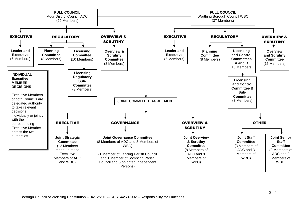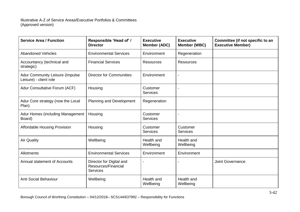| <b>Service Area / Function</b>                            | Responsible 'Head of' /<br><b>Director</b>                         | <b>Executive</b><br><b>Member (ADC)</b> | <b>Executive</b><br>Member (WBC) | Committee (if not specific to an<br><b>Executive Member)</b> |
|-----------------------------------------------------------|--------------------------------------------------------------------|-----------------------------------------|----------------------------------|--------------------------------------------------------------|
| <b>Abandoned Vehicles</b>                                 | <b>Environmental Services</b>                                      | Environment                             | Regeneration                     |                                                              |
| Accountancy (technical and<br>strategic)                  | <b>Financial Services</b>                                          | <b>Resources</b>                        | <b>Resources</b>                 |                                                              |
| Adur Community Leisure (Impulse<br>Leisure) - client role | <b>Director for Communities</b>                                    | Environment                             | $\blacksquare$                   |                                                              |
| Adur Consultative Forum (ACF)                             | Housing                                                            | Customer<br><b>Services</b>             |                                  |                                                              |
| Adur Core strategy (now the Local<br>Plan)                | Planning and Development                                           | Regeneration                            |                                  |                                                              |
| Adur Homes (including Management<br>Board)                | Housing                                                            | Customer<br><b>Services</b>             |                                  |                                                              |
| <b>Affordable Housing Provision</b>                       | Housing                                                            | Customer<br><b>Services</b>             | Customer<br><b>Services</b>      |                                                              |
| <b>Air Quality</b>                                        | Wellbeing                                                          | Health and<br>Wellbeing                 | Health and<br>Wellbeing          |                                                              |
| Allotments                                                | <b>Environmental Services</b>                                      | Environment                             | Environment                      |                                                              |
| Annual statement of Accounts                              | Director for Digital and<br>Resources/Financial<br><b>Services</b> |                                         |                                  | <b>Joint Governance</b>                                      |
| <b>Anti Social Behaviour</b>                              | Wellbeing                                                          | Health and<br>Wellbeing                 | Health and<br>Wellbeing          |                                                              |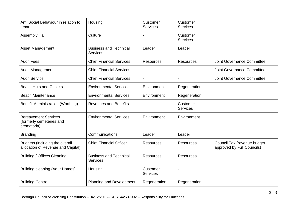| Anti Social Behaviour in relation to<br>tenants                        | Housing                                          | Customer<br><b>Services</b> | Customer<br><b>Services</b> |                                                           |
|------------------------------------------------------------------------|--------------------------------------------------|-----------------------------|-----------------------------|-----------------------------------------------------------|
| <b>Assembly Hall</b>                                                   | Culture                                          |                             | Customer<br>Services        |                                                           |
| <b>Asset Management</b>                                                | <b>Business and Technical</b><br><b>Services</b> | Leader                      | Leader                      |                                                           |
| <b>Audit Fees</b>                                                      | <b>Chief Financial Services</b>                  | <b>Resources</b>            | <b>Resources</b>            | Joint Governance Committee                                |
| <b>Audit Management</b>                                                | <b>Chief Financial Services</b>                  |                             |                             | Joint Governance Committee                                |
| <b>Audit Service</b>                                                   | <b>Chief Financial Services</b>                  |                             |                             | <b>Joint Governance Committee</b>                         |
| <b>Beach Huts and Chalets</b>                                          | <b>Environmental Services</b>                    | Environment                 | Regeneration                |                                                           |
| <b>Beach Maintenance</b>                                               | <b>Environmental Services</b>                    | Environment                 | Regeneration                |                                                           |
| <b>Benefit Administration (Worthing)</b>                               | <b>Revenues and Benefits</b>                     |                             | Customer<br><b>Services</b> |                                                           |
| <b>Bereavement Services</b><br>(formerly cemeteries and<br>crematoria) | <b>Environmental Services</b>                    | Environment                 | Environment                 |                                                           |
| <b>Branding</b>                                                        | Communications                                   | Leader                      | Leader                      |                                                           |
| Budgets (including the overall<br>allocation of Revenue and Capital)   | <b>Chief Financial Officer</b>                   | <b>Resources</b>            | <b>Resources</b>            | Council Tax (revenue budget<br>approved by Full Councils) |
| <b>Building / Offices Cleaning</b>                                     | <b>Business and Technical</b><br><b>Services</b> | <b>Resources</b>            | <b>Resources</b>            |                                                           |
| Building cleaning (Adur Homes)                                         | Housing                                          | Customer<br><b>Services</b> |                             |                                                           |
| <b>Building Control</b>                                                | <b>Planning and Development</b>                  | Regeneration                | Regeneration                |                                                           |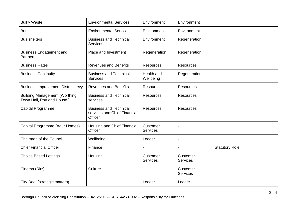| <b>Bulky Waste</b>                                                  | <b>Environmental Services</b>                                            | Environment                 | Environment                 |                       |
|---------------------------------------------------------------------|--------------------------------------------------------------------------|-----------------------------|-----------------------------|-----------------------|
| <b>Burials</b>                                                      | <b>Environmental Services</b>                                            | Environment                 | Environment                 |                       |
| <b>Bus shelters</b>                                                 | <b>Business and Technical</b><br><b>Services</b>                         | Environment                 | Regeneration                |                       |
| <b>Business Engagement and</b><br>Partnerships                      | Place and Investment                                                     | Regeneration                | Regeneration                |                       |
| <b>Business Rates</b>                                               | <b>Revenues and Benefits</b>                                             | <b>Resources</b>            | <b>Resources</b>            |                       |
| <b>Business Continuity</b>                                          | <b>Business and Technical</b><br><b>Services</b>                         | Health and<br>Wellbeing     | Regeneration                |                       |
| <b>Business Improvement District Levy</b>                           | <b>Revenues and Benefits</b>                                             | <b>Resources</b>            | Resources                   |                       |
| <b>Building Management (Worthing</b><br>Town Hall, Portland House,) | <b>Business and Technical</b><br>services                                | <b>Resources</b>            | <b>Resources</b>            |                       |
| Capital Programme                                                   | <b>Business and Technical</b><br>services and Chief Financial<br>Officer | <b>Resources</b>            | <b>Resources</b>            |                       |
| Capital Programme (Adur Homes)                                      | Housing and Chief Financial<br>Officer                                   | Customer<br><b>Services</b> |                             |                       |
| Chairman of the Council                                             | Wellbeing                                                                | Leader                      | $\blacksquare$              |                       |
| <b>Chief Financial Officer</b>                                      | Finance                                                                  |                             |                             | <b>Statutory Role</b> |
| <b>Choice Based Lettings</b>                                        | Housing                                                                  | Customer<br><b>Services</b> | Customer<br><b>Services</b> |                       |
| Cinema (Ritz)                                                       | Culture                                                                  |                             | Customer<br><b>Services</b> |                       |
| City Deal (strategic matters)                                       |                                                                          | Leader                      | Leader                      |                       |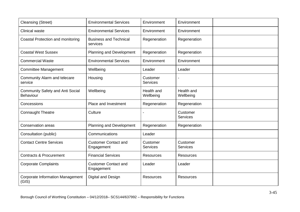| <b>Cleansing (Street)</b>                            | <b>Environmental Services</b>             | Environment                 | Environment                 |  |
|------------------------------------------------------|-------------------------------------------|-----------------------------|-----------------------------|--|
| <b>Clinical waste</b>                                | <b>Environmental Services</b>             | Environment                 | Environment                 |  |
| Coastal Protection and monitoring                    | <b>Business and Technical</b><br>services | Regeneration                | Regeneration                |  |
| <b>Coastal West Sussex</b>                           | <b>Planning and Development</b>           | Regeneration                | Regeneration                |  |
| <b>Commercial Waste</b>                              | <b>Environmental Services</b>             | Environment                 | Environment                 |  |
| <b>Committee Management</b>                          | Wellbeing                                 | Leader                      | Leader                      |  |
| Community Alarm and telecare<br>service              | Housing                                   | Customer<br><b>Services</b> |                             |  |
| <b>Community Safety and Anti Social</b><br>Behaviour | Wellbeing                                 | Health and<br>Wellbeing     | Health and<br>Wellbeing     |  |
| Concessions                                          | Place and Investment                      | Regeneration                | Regeneration                |  |
| Connaught Theatre                                    | Culture                                   |                             | Customer<br><b>Services</b> |  |
| <b>Conservation areas</b>                            | Planning and Development                  | Regeneration                | Regeneration                |  |
| Consultation (public)                                | Communications                            | Leader                      |                             |  |
| <b>Contact Centre Services</b>                       | <b>Customer Contact and</b><br>Engagement | Customer<br><b>Services</b> | Customer<br><b>Services</b> |  |
| <b>Contracts &amp; Procurement</b>                   | <b>Financial Services</b>                 | <b>Resources</b>            | Resources                   |  |
| <b>Corporate Complaints</b>                          | <b>Customer Contact and</b><br>Engagement | Leader                      | Leader                      |  |
| <b>Corporate Information Management</b><br>(GIS)     | Digital and Design                        | <b>Resources</b>            | <b>Resources</b>            |  |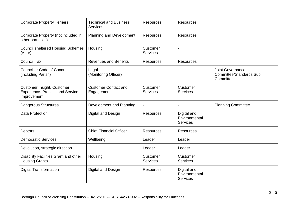| <b>Corporate Property Terriers</b>                                           | <b>Technical and Business</b><br><b>Services</b> | <b>Resources</b>            | <b>Resources</b>                                |                                                                        |
|------------------------------------------------------------------------------|--------------------------------------------------|-----------------------------|-------------------------------------------------|------------------------------------------------------------------------|
| Corporate Property (not included in<br>other portfolios)                     | Planning and Development                         | <b>Resources</b>            | <b>Resources</b>                                |                                                                        |
| <b>Council sheltered Housing Schemes</b><br>(Adur)                           | Housing                                          | Customer<br><b>Services</b> |                                                 |                                                                        |
| <b>Council Tax</b>                                                           | <b>Revenues and Benefits</b>                     | <b>Resources</b>            | <b>Resources</b>                                |                                                                        |
| <b>Councillor Code of Conduct</b><br>(including Parish)                      | Legal<br>(Monitoring Officer)                    |                             |                                                 | <b>Joint Governance</b><br><b>Committee/Standards Sub</b><br>Committee |
| Customer Insight, Customer<br>Experience. Process and Service<br>Improvement | <b>Customer Contact and</b><br>Engagement        | Customer<br><b>Services</b> | Customer<br><b>Services</b>                     |                                                                        |
| <b>Dangerous Structures</b>                                                  | Development and Planning                         |                             |                                                 | <b>Planning Committee</b>                                              |
| <b>Data Protection</b>                                                       | Digital and Design                               | <b>Resources</b>            | Digital and<br>Environmental<br><b>Services</b> |                                                                        |
| <b>Debtors</b>                                                               | <b>Chief Financial Officer</b>                   | <b>Resources</b>            | <b>Resources</b>                                |                                                                        |
| <b>Democratic Services</b>                                                   | Wellbeing                                        | Leader                      | Leader                                          |                                                                        |
| Devolution, strategic direction                                              |                                                  | Leader                      | Leader                                          |                                                                        |
| Disability Facilities Grant and other<br><b>Housing Grants</b>               | Housing                                          | Customer<br><b>Services</b> | Customer<br><b>Services</b>                     |                                                                        |
| <b>Digital Transformation</b>                                                | Digital and Design                               | <b>Resources</b>            | Digital and<br>Environmental<br><b>Services</b> |                                                                        |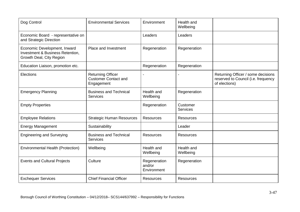| Dog Control                                                                                             | <b>Environmental Services</b>                                         | Environment                           | Health and<br>Wellbeing     |                                                                                            |
|---------------------------------------------------------------------------------------------------------|-----------------------------------------------------------------------|---------------------------------------|-----------------------------|--------------------------------------------------------------------------------------------|
| Economic Board - representative on<br>and Strategic Direction                                           |                                                                       | Leaders                               | Leaders                     |                                                                                            |
| Economic Development, Inward<br><b>Investment &amp; Business Retention,</b><br>Growth Deal, City Region | Place and Investment                                                  | Regeneration                          | Regeneration                |                                                                                            |
| Education Liaison, promotion etc.                                                                       |                                                                       | Regeneration                          | Regeneration                |                                                                                            |
| Elections                                                                                               | <b>Returning Officer</b><br><b>Customer Contact and</b><br>Engagement |                                       |                             | Returning Officer / some decisions<br>reserved to Council (i.e. frequency<br>of elections) |
| <b>Emergency Planning</b>                                                                               | <b>Business and Technical</b><br><b>Services</b>                      | Health and<br>Wellbeing               | Regeneration                |                                                                                            |
| <b>Empty Properties</b>                                                                                 |                                                                       | Regeneration                          | Customer<br><b>Services</b> |                                                                                            |
| <b>Employee Relations</b>                                                                               | <b>Strategic Human Resources</b>                                      | <b>Resources</b>                      | <b>Resources</b>            |                                                                                            |
| <b>Energy Management</b>                                                                                | Sustainability                                                        |                                       | Leader                      |                                                                                            |
| <b>Engineering and Surveying</b>                                                                        | <b>Business and Technical</b><br><b>Services</b>                      | <b>Resources</b>                      | <b>Resources</b>            |                                                                                            |
| <b>Environmental Health (Protection)</b>                                                                | Wellbeing                                                             | Health and<br>Wellbeing               | Health and<br>Wellbeing     |                                                                                            |
| <b>Events and Cultural Projects</b>                                                                     | Culture                                                               | Regeneration<br>and/or<br>Environment | Regeneration                |                                                                                            |
| <b>Exchequer Services</b>                                                                               | <b>Chief Financial Officer</b>                                        | <b>Resources</b>                      | <b>Resources</b>            |                                                                                            |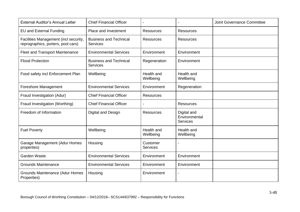| <b>External Auditor's Annual Letter</b>                                     | <b>Chief Financial Officer</b>                   |                             |                                                 | <b>Joint Governance Committee</b> |
|-----------------------------------------------------------------------------|--------------------------------------------------|-----------------------------|-------------------------------------------------|-----------------------------------|
| <b>EU and External Funding</b>                                              | Place and Investment                             | <b>Resources</b>            | <b>Resources</b>                                |                                   |
| Facilities Management (incl security,<br>reprographics, porters, pool cars) | <b>Business and Technical</b><br><b>Services</b> | <b>Resources</b>            | <b>Resources</b>                                |                                   |
| <b>Fleet and Transport Maintenance</b>                                      | <b>Environmental Services</b>                    | Environment                 | Environment                                     |                                   |
| <b>Flood Protection</b>                                                     | <b>Business and Technical</b><br><b>Services</b> | Regeneration                | Environment                                     |                                   |
| Food safety incl Enforcement Plan                                           | Wellbeing                                        | Health and<br>Wellbeing     | Health and<br>Wellbeing                         |                                   |
| Foreshore Management                                                        | <b>Environmental Services</b>                    | Environment                 | Regeneration                                    |                                   |
| Fraud Investigation (Adur)                                                  | <b>Chief Financial Officer</b>                   | <b>Resources</b>            |                                                 |                                   |
| Fraud Investigation (Worthing)                                              | <b>Chief Financial Officer</b>                   |                             | <b>Resources</b>                                |                                   |
| Freedom of Information                                                      | Digital and Design                               | <b>Resources</b>            | Digital and<br>Environmental<br><b>Services</b> |                                   |
| <b>Fuel Poverty</b>                                                         | Wellbeing                                        | Health and<br>Wellbeing     | Health and<br>Wellbeing                         |                                   |
| Garage Management (Adur Homes<br>properties)                                | Housing                                          | Customer<br><b>Services</b> |                                                 |                                   |
| Garden Waste                                                                | <b>Environmental Services</b>                    | Environment                 | Environment                                     |                                   |
| <b>Grounds Maintenance</b>                                                  | <b>Environmental Services</b>                    | Environment                 | Environment                                     |                                   |
| Grounds Maintenance (Adur Homes<br>Properties)                              | Housing                                          | Environment                 |                                                 |                                   |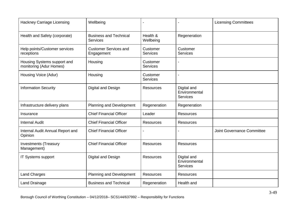| Hackney Carriage Licensing                             | Wellbeing                                        |                             |                                                 | <b>Licensing Committees</b>       |
|--------------------------------------------------------|--------------------------------------------------|-----------------------------|-------------------------------------------------|-----------------------------------|
| Health and Safety (corporate)                          | <b>Business and Technical</b><br><b>Services</b> | Health &<br>Wellbeing       | Regeneration                                    |                                   |
| Help points/Customer services<br>receptions            | <b>Customer Services and</b><br>Engagement       | Customer<br><b>Services</b> | Customer<br><b>Services</b>                     |                                   |
| Housing Systems support and<br>monitoring (Adur Homes) | Housing                                          | Customer<br><b>Services</b> |                                                 |                                   |
| Housing Voice (Adur)                                   | Housing                                          | Customer<br><b>Services</b> |                                                 |                                   |
| <b>Information Security</b>                            | Digital and Design                               | <b>Resources</b>            | Digital and<br>Environmental<br><b>Services</b> |                                   |
| Infrastructure delivery plans                          | Planning and Development                         | Regeneration                | Regeneration                                    |                                   |
| Insurance                                              | <b>Chief Financial Officer</b>                   | Leader                      | <b>Resources</b>                                |                                   |
| <b>Internal Audit</b>                                  | <b>Chief Financial Officer</b>                   | <b>Resources</b>            | <b>Resources</b>                                |                                   |
| Internal Audit Annual Report and<br>Opinion            | <b>Chief Financial Officer</b>                   |                             |                                                 | <b>Joint Governance Committee</b> |
| <b>Investments (Treasury</b><br>Management)            | <b>Chief Financial Officer</b>                   | <b>Resources</b>            | <b>Resources</b>                                |                                   |
| IT Systems support                                     | Digital and Design                               | <b>Resources</b>            | Digital and<br>Environmental<br><b>Services</b> |                                   |
| <b>Land Charges</b>                                    | Planning and Development                         | <b>Resources</b>            | <b>Resources</b>                                |                                   |
| <b>Land Drainage</b>                                   | <b>Business and Technical</b>                    | Regeneration                | Health and                                      |                                   |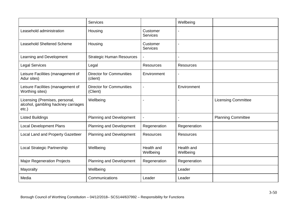|                                                                                   | <b>Services</b>                             |                             | Wellbeing               |                            |
|-----------------------------------------------------------------------------------|---------------------------------------------|-----------------------------|-------------------------|----------------------------|
| Leasehold administration                                                          | Housing                                     | Customer<br><b>Services</b> |                         |                            |
| <b>Leasehold Sheltered Scheme</b>                                                 | Housing                                     | Customer<br><b>Services</b> |                         |                            |
| Learning and Development                                                          | <b>Strategic Human Resources</b>            |                             |                         |                            |
| <b>Legal Services</b>                                                             | Legal                                       | <b>Resources</b>            | Resources               |                            |
| Leisure Facilities (management of<br>Adur sites)                                  | <b>Director for Communities</b><br>(client) | Environment                 |                         |                            |
| Leisure Facilities (management of<br>Worthing sites)                              | <b>Director for Communities</b><br>(Client) |                             | Environment             |                            |
| Licensing (Premises, personal,<br>alcohol, gambling hackney carriages<br>$etc.$ ) | Wellbeing                                   |                             |                         | <b>Licensing Committee</b> |
| <b>Listed Buildings</b>                                                           | Planning and Development                    | $\overline{\phantom{0}}$    |                         | <b>Planning Committee</b>  |
| <b>Local Development Plans</b>                                                    | Planning and Development                    | Regeneration                | Regeneration            |                            |
| Local Land and Property Gazetteer                                                 | Planning and Development                    | <b>Resources</b>            | <b>Resources</b>        |                            |
| Local Strategic Partnership                                                       | Wellbeing                                   | Health and<br>Wellbeing     | Health and<br>Wellbeing |                            |
| <b>Major Regeneration Projects</b>                                                | Planning and Development                    | Regeneration                | Regeneration            |                            |
| Mayoralty                                                                         | Wellbeing                                   |                             | Leader                  |                            |
| Media                                                                             | Communications                              | Leader                      | Leader                  |                            |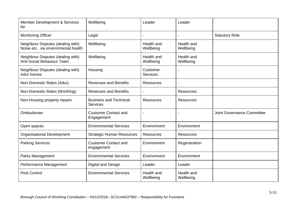| Member Development & Services<br>for                                     | Wellbeing                                        | Leader                      | Leader                  |                            |
|--------------------------------------------------------------------------|--------------------------------------------------|-----------------------------|-------------------------|----------------------------|
| <b>Monitoring Officer</b>                                                | Legal                                            |                             |                         | <b>Statutory Role</b>      |
| Neighbour Disputes (dealing with)<br>Noise etc. via environmental health | Wellbeing                                        | Health and<br>Wellbeing     | Health and<br>Wellbeing |                            |
| Neighbour Disputes (dealing with)<br>Anti-Social Behaviour Team          | Wellbeing                                        | Health and<br>Wellbeing     | Health and<br>Wellbeing |                            |
| Neighbour Disputes (dealing with)<br>Adur homes                          | Housing                                          | Customer<br><b>Services</b> |                         |                            |
| Non-Domestic Rates (Adur)                                                | <b>Revenues and Benefits</b>                     | <b>Resources</b>            |                         |                            |
| Non-Domestic Rates (Worthing)                                            | <b>Revenues and Benefits</b>                     |                             | Resources               |                            |
| Non-Housing property repairs                                             | <b>Business and Technical</b><br><b>Services</b> | <b>Resources</b>            | <b>Resources</b>        |                            |
| Ombudsman                                                                | <b>Customer Contact and</b><br>Engagement        |                             |                         | Joint Governance Committee |
| Open spaces                                                              | <b>Environmental Services</b>                    | Environment                 | Environment             |                            |
| <b>Organisational Development</b>                                        | <b>Strategic Human Resources</b>                 | <b>Resources</b>            | <b>Resources</b>        |                            |
| <b>Parking Services</b>                                                  | <b>Customer Contact and</b><br>engagement        | Environment                 | Regeneration            |                            |
| Parks Management                                                         | <b>Environmental Services</b>                    | Environment                 | Environment             |                            |
| Performance Management                                                   | Digital and Design                               | Leader                      | Leader                  |                            |
| <b>Pest Control</b>                                                      | <b>Environmental Services</b>                    | Health and<br>Wellbeing     | Health and<br>Wellbeing |                            |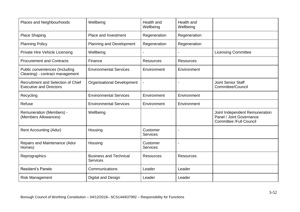| Places and Neighbourhoods                                            | Wellbeing                                        | Health and<br>Wellbeing     | Health and<br>Wellbeing |                                                                                              |
|----------------------------------------------------------------------|--------------------------------------------------|-----------------------------|-------------------------|----------------------------------------------------------------------------------------------|
| <b>Place Shaping</b>                                                 | Place and Investment                             | Regeneration                | Regeneration            |                                                                                              |
| <b>Planning Policy</b>                                               | Planning and Development                         | Regeneration                | Regeneration            |                                                                                              |
| Private Hire Vehicle Licensing                                       | Wellbeing                                        |                             |                         | <b>Licensing Committee</b>                                                                   |
| <b>Procurement and Contracts</b>                                     | Finance                                          | <b>Resources</b>            | <b>Resources</b>        |                                                                                              |
| Public conveniences (Including<br>Cleaning) - contract management    | <b>Environmental Services</b>                    | Environment                 | Environment             |                                                                                              |
| Recruitment and Selection of Chief<br><b>Executive and Directors</b> | Organisational Development                       |                             |                         | Joint Senior Staff<br>Committee/Council                                                      |
| Recycling                                                            | <b>Environmental Services</b>                    | Environment                 | Environment             |                                                                                              |
| Refuse                                                               | <b>Environmental Services</b>                    | Environment                 | Environment             |                                                                                              |
| Remuneration (Members) -<br>(Members Allowances)                     | Wellbeing                                        |                             |                         | Joint Independent Remuneration<br>Panel / Joint Governance<br><b>Committee /Full Council</b> |
| <b>Rent Accounting (Adur)</b>                                        | Housing                                          | Customer<br><b>Services</b> |                         |                                                                                              |
| Repairs and Maintenance (Adur<br>Homes)                              | Housing                                          | Customer<br><b>Services</b> |                         |                                                                                              |
| Reprographics                                                        | <b>Business and Technical</b><br><b>Services</b> | <b>Resources</b>            | <b>Resources</b>        |                                                                                              |
| <b>Resident's Panels</b>                                             | Communications                                   | Leader                      | Leader                  |                                                                                              |
| <b>Risk Management</b>                                               | Digital and Design                               | Leader                      | Leader                  |                                                                                              |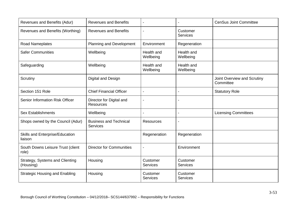| Revenues and Benefits (Adur)                 | <b>Revenues and Benefits</b>                     |                             |                             | <b>CenSus Joint Committee</b>            |
|----------------------------------------------|--------------------------------------------------|-----------------------------|-----------------------------|------------------------------------------|
| Revenues and Benefits (Worthing)             | <b>Revenues and Benefits</b>                     |                             | Customer<br><b>Services</b> |                                          |
| Road Nameplates                              | Planning and Development                         | Environment                 | Regeneration                |                                          |
| <b>Safer Communities</b>                     | Wellbeing                                        | Health and<br>Wellbeing     | Health and<br>Wellbeing     |                                          |
| Safeguarding                                 | Wellbeing                                        | Health and<br>Wellbeing     | Health and<br>Wellbeing     |                                          |
| Scrutiny                                     | Digital and Design                               |                             |                             | Joint Overview and Scrutiny<br>Committee |
| Section 151 Role                             | <b>Chief Financial Officer</b>                   | $\blacksquare$              |                             | <b>Statutory Role</b>                    |
| Senior Information Risk Officer              | Director for Digital and<br><b>Resources</b>     |                             |                             |                                          |
| <b>Sex Establishments</b>                    | Wellbeing                                        |                             | $\blacksquare$              | <b>Licensing Committees</b>              |
| Shops owned by the Council (Adur)            | <b>Business and Technical</b><br><b>Services</b> | <b>Resources</b>            |                             |                                          |
| Skills and Enterprise/Education<br>liaison   |                                                  | Regeneration                | Regeneration                |                                          |
| South Downs Leisure Trust (client<br>role)   | <b>Director for Communities</b>                  |                             | Environment                 |                                          |
| Strategy, Systems and Clienting<br>(Housing) | Housing                                          | Customer<br><b>Services</b> | Customer<br><b>Services</b> |                                          |
| <b>Strategic Housing and Enabling</b>        | Housing                                          | Customer<br><b>Services</b> | Customer<br><b>Services</b> |                                          |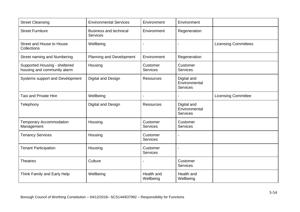| <b>Street Cleansing</b>                                      | <b>Environmental Services</b>                    | Environment                 | Environment                                     |                             |
|--------------------------------------------------------------|--------------------------------------------------|-----------------------------|-------------------------------------------------|-----------------------------|
| <b>Street Furniture</b>                                      | <b>Business and technical</b><br><b>Services</b> | Environment                 | Regeneration                                    |                             |
| Street and House to House<br>Collections                     | Wellbeing                                        |                             |                                                 | <b>Licensing Committees</b> |
| <b>Street naming and Numbering</b>                           | Planning and Development                         | Environment                 | Regeneration                                    |                             |
| Supported Housing - sheltered<br>housing and community alarm | Housing                                          | Customer<br>Services        | Customer<br>Services                            |                             |
| Systems support and Development                              | Digital and Design                               | <b>Resources</b>            | Digital and<br>Environmental<br><b>Services</b> |                             |
| <b>Taxi and Private Hire</b>                                 | Wellbeing                                        | $\blacksquare$              |                                                 | <b>Licensing Committee</b>  |
| Telephony                                                    | Digital and Design                               | <b>Resources</b>            | Digital and<br>Environmental<br>Services        |                             |
| <b>Temporary Accommodation</b><br>Management                 | Housing                                          | Customer<br><b>Services</b> | Customer<br><b>Services</b>                     |                             |
| <b>Tenancy Services</b>                                      | Housing                                          | Customer<br><b>Services</b> |                                                 |                             |
| <b>Tenant Participation</b>                                  | Housing                                          | Customer<br><b>Services</b> |                                                 |                             |
| <b>Theatres</b>                                              | Culture                                          |                             | Customer<br><b>Services</b>                     |                             |
| Think Family and Early Help                                  | Wellbeing                                        | Health and<br>Wellbeing     | Health and<br>Wellbeing                         |                             |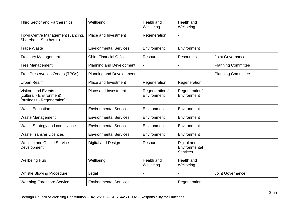| <b>Third Sector and Partnerships</b>                                                | Wellbeing                      | Health and<br>Wellbeing       | Health and<br>Wellbeing                         |                           |
|-------------------------------------------------------------------------------------|--------------------------------|-------------------------------|-------------------------------------------------|---------------------------|
| Town Centre Management (Lancing,<br>Shoreham, Southwick)                            | Place and Investment           | Regeneration                  |                                                 |                           |
| <b>Trade Waste</b>                                                                  | <b>Environmental Services</b>  | Environment                   | Environment                                     |                           |
| <b>Treasury Management</b>                                                          | <b>Chief Financial Officer</b> | <b>Resources</b>              | <b>Resources</b>                                | Joint Governance          |
| <b>Tree Management</b>                                                              | Planning and Development       |                               |                                                 | <b>Planning Committee</b> |
| Tree Preservation Orders (TPOs)                                                     | Planning and Development       |                               |                                                 | <b>Planning Committee</b> |
| Urban Realm                                                                         | Place and Investment           | Regeneration                  | Regeneration                                    |                           |
| <b>Visitors and Events</b><br>(cultural - Environment)<br>(business - Regeneration) | Place and Investment           | Regeneration /<br>Environment | Regeneration/<br>Environment                    |                           |
| <b>Waste Education</b>                                                              | <b>Environmental Services</b>  | Environment                   | Environment                                     |                           |
| Waste Management                                                                    | <b>Environmental Services</b>  | Environment                   | Environment                                     |                           |
| Waste Strategy and compliance                                                       | <b>Environmental Services</b>  | Environment                   | Environment                                     |                           |
| <b>Waste Transfer Licences</b>                                                      | <b>Environmental Services</b>  | Environment                   | Environment                                     |                           |
| <b>Website and Online Service</b><br>Development                                    | Digital and Design             | <b>Resources</b>              | Digital and<br>Environmental<br><b>Services</b> |                           |
| <b>Wellbeing Hub</b>                                                                | Wellbeing                      | Health and<br>Wellbeing       | Health and<br>Wellbeing                         |                           |
| <b>Whistle Blowing Procedure</b>                                                    | Legal                          |                               |                                                 | Joint Governance          |
| <b>Worthing Foreshore Service</b>                                                   | <b>Environmental Services</b>  |                               | Regeneration                                    |                           |